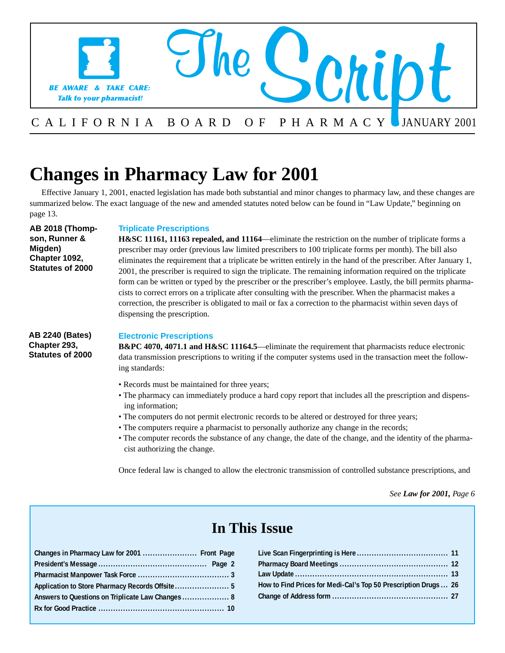

# **Changes in Pharmacy Law for 2001**

Effective January 1, 2001, enacted legislation has made both substantial and minor changes to pharmacy law, and these changes are summarized below. The exact language of the new and amended statutes noted below can be found in "Law Update," beginning on page 13.

**AB 2018 (Thompson, Runner & Migden) Chapter 1092, Statutes of 2000** 

I

#### **Triplicate Prescriptions**

**H&SC 11161, 11163 repealed, and 11164**—eliminate the restriction on the number of triplicate forms a prescriber may order (previous law limited prescribers to 100 triplicate forms per month). The bill also eliminates the requirement that a triplicate be written entirely in the hand of the prescriber. After January 1, 2001, the prescriber is required to sign the triplicate. The remaining information required on the triplicate form can be written or typed by the prescriber or the prescriber's employee. Lastly, the bill permits pharmacists to correct errors on a triplicate after consulting with the prescriber. When the pharmacist makes a correction, the prescriber is obligated to mail or fax a correction to the pharmacist within seven days of dispensing the prescription.

**AB 2240 (Bates) Chapter 293, Statutes of 2000 Electronic Prescriptions B&PC 4070, 4071.1 and H&SC 11164.5—eliminate the requirement that pharmacists reduce electronic** data transmission prescriptions to writing if the computer systems used in the transaction meet the following standards:

- Records must be maintained for three years;
- The pharmacy can immediately produce a hard copy report that includes all the prescription and dispensing information;
- The computers do not permit electronic records to be altered or destroyed for three years;
- The computers require a pharmacist to personally authorize any change in the records;
- The computer records the substance of any change, the date of the change, and the identity of the pharmacist authorizing the change.

Once federal law is changed to allow the electronic transmission of controlled substance prescriptions, and

*See Law for 2001, Page 6* 

# **In This Issue**

| Changes in Pharmacy Law for 2001  Front Page      |  |
|---------------------------------------------------|--|
|                                                   |  |
|                                                   |  |
|                                                   |  |
| Answers to Questions on Triplicate Law Changes  8 |  |
|                                                   |  |

| How to Find Prices for Medi-Cal's Top 50 Prescription Drugs  26 |  |
|-----------------------------------------------------------------|--|
|                                                                 |  |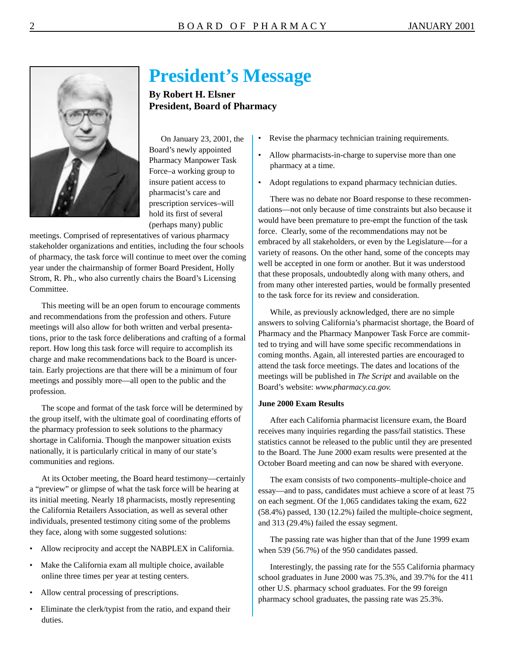

# **President's Message**

### **By Robert H. Elsner President, Board of Pharmacy**

On January 23, 2001, the Board's newly appointed Pharmacy Manpower Task Force–a working group to insure patient access to pharmacist's care and prescription services–will hold its first of several (perhaps many) public

meetings. Comprised of representatives of various pharmacy stakeholder organizations and entities, including the four schools of pharmacy, the task force will continue to meet over the coming year under the chairmanship of former Board President, Holly Strom, R. Ph., who also currently chairs the Board's Licensing Committee.

This meeting will be an open forum to encourage comments and recommendations from the profession and others. Future meetings will also allow for both written and verbal presentations, prior to the task force deliberations and crafting of a formal report. How long this task force will require to accomplish its charge and make recommendations back to the Board is uncertain. Early projections are that there will be a minimum of four meetings and possibly more—all open to the public and the profession.

The scope and format of the task force will be determined by the group itself, with the ultimate goal of coordinating efforts of the pharmacy profession to seek solutions to the pharmacy shortage in California. Though the manpower situation exists nationally, it is particularly critical in many of our state's communities and regions.

At its October meeting, the Board heard testimony—certainly a "preview" or glimpse of what the task force will be hearing at its initial meeting. Nearly 18 pharmacists, mostly representing the California Retailers Association, as well as several other individuals, presented testimony citing some of the problems they face, along with some suggested solutions:

- Allow reciprocity and accept the NABPLEX in California.
- Make the California exam all multiple choice, available online three times per year at testing centers.
- Allow central processing of prescriptions.
- Eliminate the clerk/typist from the ratio, and expand their duties.
- Revise the pharmacy technician training requirements.
- Allow pharmacists-in-charge to supervise more than one pharmacy at a time.
- Adopt regulations to expand pharmacy technician duties.

There was no debate nor Board response to these recommendations—not only because of time constraints but also because it would have been premature to pre-empt the function of the task force. Clearly, some of the recommendations may not be embraced by all stakeholders, or even by the Legislature—for a variety of reasons. On the other hand, some of the concepts may well be accepted in one form or another. But it was understood that these proposals, undoubtedly along with many others, and from many other interested parties, would be formally presented to the task force for its review and consideration.

While, as previously acknowledged, there are no simple answers to solving California's pharmacist shortage, the Board of Pharmacy and the Pharmacy Manpower Task Force are committed to trying and will have some specific recommendations in coming months. Again, all interested parties are encouraged to attend the task force meetings. The dates and locations of the meetings will be published in *The Script* and available on the Board's website: *[www.pharmacy.ca.gov.](www.pharmacy.ca.gov)* 

#### **June 2000 Exam Results**

After each California pharmacist licensure exam, the Board receives many inquiries regarding the pass/fail statistics. These statistics cannot be released to the public until they are presented to the Board. The June 2000 exam results were presented at the October Board meeting and can now be shared with everyone.

The exam consists of two components–multiple-choice and essay—and to pass, candidates must achieve a score of at least 75 on each segment. Of the 1,065 candidates taking the exam, 622 (58.4%) passed, 130 (12.2%) failed the multiple-choice segment, and 313 (29.4%) failed the essay segment.

The passing rate was higher than that of the June 1999 exam when 539 (56.7%) of the 950 candidates passed.

Interestingly, the passing rate for the 555 California pharmacy school graduates in June 2000 was 75.3%, and 39.7% for the 411 other U.S. pharmacy school graduates. For the 99 foreign pharmacy school graduates, the passing rate was 25.3%.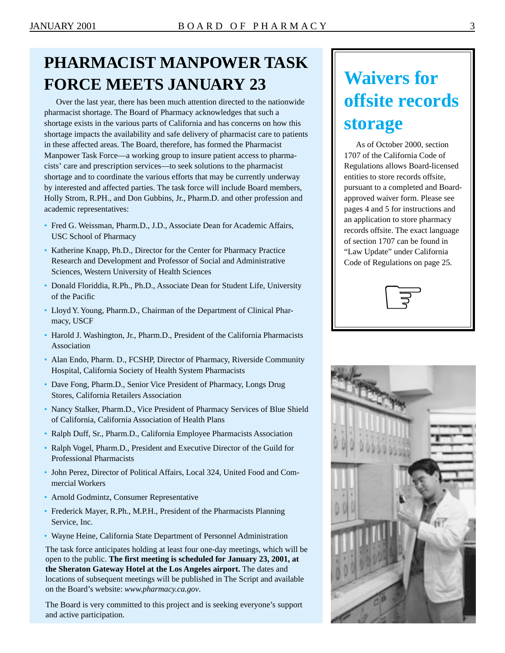# **PHARMACIST MANPOWER TASK FORCE MEETS JANUARY 23**

Over the last year, there has been much attention directed to the nationwide pharmacist shortage. The Board of Pharmacy acknowledges that such a shortage exists in the various parts of California and has concerns on how this shortage impacts the availability and safe delivery of pharmacist care to patients in these affected areas. The Board, therefore, has formed the Pharmacist Manpower Task Force—a working group to insure patient access to pharmacists' care and prescription services—to seek solutions to the pharmacist shortage and to coordinate the various efforts that may be currently underway by interested and affected parties. The task force will include Board members, Holly Strom, R.PH., and Don Gubbins, Jr., Pharm.D. and other profession and academic representatives:

- Fred G. Weissman, Pharm.D., J.D., Associate Dean for Academic Affairs, USC School of Pharmacy
- Katherine Knapp, Ph.D., Director for the Center for Pharmacy Practice Research and Development and Professor of Social and Administrative Sciences, Western University of Health Sciences
- Donald Floriddia, R.Ph., Ph.D., Associate Dean for Student Life, University of the Pacific
- Lloyd Y. Young, Pharm.D., Chairman of the Department of Clinical Pharmacy, USCF
- Harold J. Washington, Jr., Pharm.D., President of the California Pharmacists Association
- Alan Endo, Pharm. D., FCSHP, Director of Pharmacy, Riverside Community Hospital, California Society of Health System Pharmacists
- Dave Fong, Pharm.D., Senior Vice President of Pharmacy, Longs Drug Stores, California Retailers Association
- Nancy Stalker, Pharm.D., Vice President of Pharmacy Services of Blue Shield of California, California Association of Health Plans
- Ralph Duff, Sr., Pharm.D., California Employee Pharmacists Association
- Ralph Vogel, Pharm.D., President and Executive Director of the Guild for Professional Pharmacists
- John Perez, Director of Political Affairs, Local 324, United Food and Commercial Workers
- Arnold Godmintz, Consumer Representative
- Frederick Mayer, R.Ph., M.P.H., President of the Pharmacists Planning Service, Inc.
- Wayne Heine, California State Department of Personnel Administration

The task force anticipates holding at least four one-day meetings, which will be open to the public. **The first meeting is scheduled for January 23, 2001, at the Sheraton Gateway Hotel at the Los Angeles airport.** The dates and locations of subsequent meetings will be published in The Script and available on the Board's website: *<www.pharmacy.ca.gov>*.

The Board is very committed to this project and is seeking everyone's support and active participation.

# **Waivers for offsite records storage**

As of October 2000, section 1707 of the California Code of Regulations allows Board-licensed entities to store records offsite, pursuant to a completed and Boardapproved waiver form. Please see pages 4 and 5 for instructions and an application to store pharmacy records offsite. The exact language of section 1707 can be found in "Law Update" under California Code of Regulations on page 25.



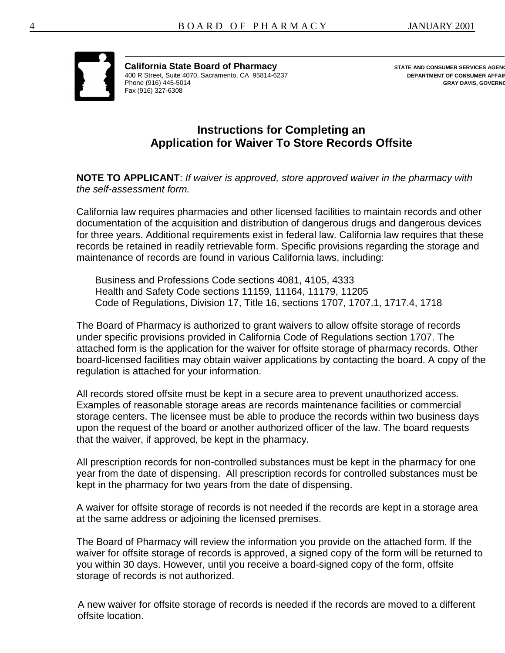

**California State Board of Pharmacy STATE AND CONSUMER SERVICES AGENC** 400 R Street, Suite 4070, Sacramento, CA 95814-6237 **DEPARTMENT OF CONSUMER AFFAIR**  Phone (916) 445-5014 **GRAY DAVIS, GOVERNO**  GRAY DAVIS, GOVERNO **GRAY DAVIS, GOVERNO** Fax (916) 327-6308

# **Instructions for Completing an Application for Waiver To Store Records Offsite**

**NOTE TO APPLICANT**: If waiver is approved, store approved waiver in the pharmacy with the self-assessment form.

California law requires pharmacies and other licensed facilities to maintain records and other documentation of the acquisition and distribution of dangerous drugs and dangerous devices for three years. Additional requirements exist in federal law. California law requires that these records be retained in readily retrievable form. Specific provisions regarding the storage and maintenance of records are found in various California laws, including:

Business and Professions Code sections 4081, 4105, 4333 Health and Safety Code sections 11159, 11164, 11179, 11205 Code of Regulations, Division 17, Title 16, sections 1707, 1707.1, 1717.4, 1718

The Board of Pharmacy is authorized to grant waivers to allow offsite storage of records under specific provisions provided in California Code of Regulations section 1707. The attached form is the application for the waiver for offsite storage of pharmacy records. Other board-licensed facilities may obtain waiver applications by contacting the board. A copy of the regulation is attached for your information.

 upon the request of the board or another authorized officer of the law. The board requests All records stored offsite must be kept in a secure area to prevent unauthorized access. Examples of reasonable storage areas are records maintenance facilities or commercial storage centers. The licensee must be able to produce the records within two business days that the waiver, if approved, be kept in the pharmacy.

 All prescription records for non-controlled substances must be kept in the pharmacy for one year from the date of dispensing. All prescription records for controlled substances must be kept in the pharmacy for two years from the date of dispensing.

A waiver for offsite storage of records is not needed if the records are kept in a storage area at the same address or adjoining the licensed premises.

The Board of Pharmacy will review the information you provide on the attached form. If the waiver for offsite storage of records is approved, a signed copy of the form will be returned to you within 30 days. However, until you receive a board-signed copy of the form, offsite storage of records is not authorized.

A new waiver for offsite storage of records is needed if the records are moved to a different offsite location.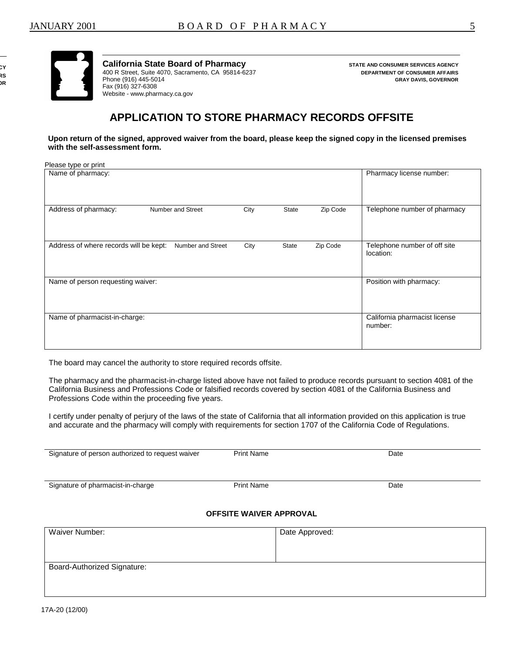

| C٧ | California    |
|----|---------------|
| RS | 400 R Street, |
| ЭR | Phone (916)   |
|    | Fax (916) 327 |
|    | Website - ww  |
|    |               |

**California State Board of Pharmacy**  400 R Street, Suite 4070, Sacramento, CA 95814-6237 Phone (916) 445-5014 Fax (916) 327-6308 Website - www.pharmacy.ca.gov

**STATE AND CONSUMER SERVICES AGENCY DEPARTMENT OF CONSUMER AFFAIRS GRAY DAVIS, GOVERNOR** 

# **APPLICATION TO STORE PHARMACY RECORDS OFFSITE**

#### **Upon return of the signed, approved waiver from the board, please keep the signed copy in the licensed premises with the self-assessment form.**

Please type or print

| Name of pharmacy:                                           |      |              |          | Pharmacy license number:                  |
|-------------------------------------------------------------|------|--------------|----------|-------------------------------------------|
| Address of pharmacy:<br>Number and Street                   | City | State        | Zip Code | Telephone number of pharmacy              |
| Address of where records will be kept:<br>Number and Street | City | <b>State</b> | Zip Code | Telephone number of off site<br>location: |
| Name of person requesting waiver:                           |      |              |          | Position with pharmacy:                   |
| Name of pharmacist-in-charge:                               |      |              |          | California pharmacist license<br>number:  |

The board may cancel the authority to store required records offsite.

The pharmacy and the pharmacist-in-charge listed above have not failed to produce records pursuant to section 4081 of the California Business and Professions Code or falsified records covered by section 4081 of the California Business and Professions Code within the proceeding five years.

 and accurate and the pharmacy will comply with requirements for section 1707 of the California Code of Regulations. I certify under penalty of perjury of the laws of the state of California that all information provided on this application is true

| Signature of person authorized to request waiver | <b>Print Name</b> | Date |  |
|--------------------------------------------------|-------------------|------|--|
|                                                  |                   |      |  |
|                                                  |                   |      |  |
|                                                  |                   |      |  |

Signature of pharmacist-in-charge **Print Name** Print Name Date

#### **OFFSITE WAIVER APPROVAL**

| <b>Waiver Number:</b>              | Date Approved: |
|------------------------------------|----------------|
| <b>Board-Authorized Signature:</b> |                |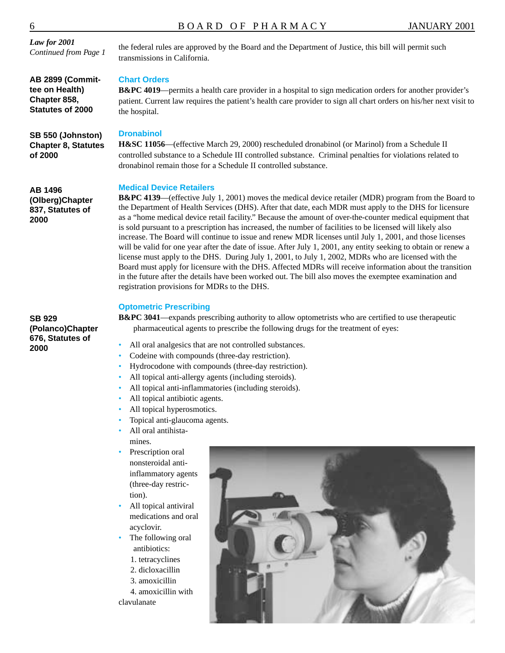*Law for 2001 Continued from Page 1* 

**AB 2899 (Committee on Health) Chapter 858, Statutes of 2000** 

**SB 550 (Johnston) Chapter 8, Statutes** 

**of 2000** 

**AB 1496** 

**2000** 

the federal rules are approved by the Board and the Department of Justice, this bill will permit such transmissions in California.

#### **Chart Orders**

**B&PC 4019**—permits a health care provider in a hospital to sign medication orders for another provider's patient. Current law requires the patient's health care provider to sign all chart orders on his/her next visit to the hospital.

#### **Dronabinol**

**H&SC 11056**—(effective March 29, 2000) rescheduled dronabinol (or Marinol) from a Schedule II controlled substance to a Schedule III controlled substance. Criminal penalties for violations related to dronabinol remain those for a Schedule II controlled substance.

#### **Medical Device Retailers**

**B&PC 4139**—(effective July 1, 2001) moves the medical device retailer (MDR) program from the Board to the Department of Health Services (DHS). After that date, each MDR must apply to the DHS for licensure as a "home medical device retail facility." Because the amount of over-the-counter medical equipment that is sold pursuant to a prescription has increased, the number of facilities to be licensed will likely also increase. The Board will continue to issue and renew MDR licenses until July 1, 2001, and those licenses will be valid for one year after the date of issue. After July 1, 2001, any entity seeking to obtain or renew a license must apply to the DHS. During July 1, 2001, to July 1, 2002, MDRs who are licensed with the Board must apply for licensure with the DHS. Affected MDRs will receive information about the transition in the future after the details have been worked out. The bill also moves the exemptee examination and registration provisions for MDRs to the DHS.

#### **Optometric Prescribing**

**B&PC 3041**—expands prescribing authority to allow optometrists who are certified to use therapeutic pharmaceutical agents to prescribe the following drugs for the treatment of eyes:

- All oral analgesics that are not controlled substances.
- Codeine with compounds (three-day restriction).
- Hydrocodone with compounds (three-day restriction).
- All topical anti-allergy agents (including steroids).
- All topical anti-inflammatories (including steroids).
- All topical antibiotic agents.
- All topical hyperosmotics.
- Topical anti-glaucoma agents.
- All oral antihistamines.
- Prescription oral nonsteroidal antiinflammatory agents (three-day restriction).
- All topical antiviral medications and oral acyclovir.
- The following oral antibiotics:
	- 1. tetracyclines
	- 2. dicloxacillin
	- 3. amoxicillin

4. amoxicillin with clavulanate



**(Olberg)Chapter 837, Statutes of** 

#### **SB 929 (Polanco)Chapter 676, Statutes of 2000**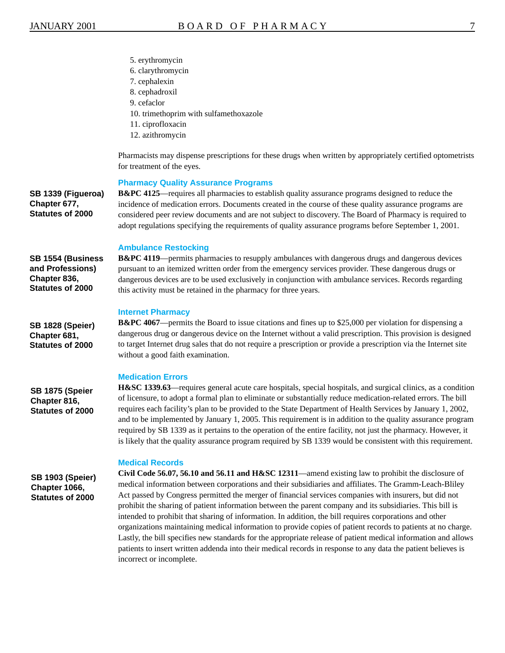- 5. erythromycin
- 6. clarythromycin
- 7. cephalexin
- 8. cephadroxil
- 9. cefaclor
- 10. trimethoprim with sulfamethoxazole
- 11. ciprofloxacin
- 12. azithromycin

Pharmacists may dispense prescriptions for these drugs when written by appropriately certified optometrists for treatment of the eyes.

#### **Pharmacy Quality Assurance Programs**

**SB 1339 (Figueroa) Chapter 677, Statutes of 2000** 

**B&PC 4125**—requires all pharmacies to establish quality assurance programs designed to reduce the incidence of medication errors. Documents created in the course of these quality assurance programs are considered peer review documents and are not subject to discovery. The Board of Pharmacy is required to adopt regulations specifying the requirements of quality assurance programs before September 1, 2001.

#### **Ambulance Restocking**

**SB 1554 (Business B&PC 4119**—permits pharmacies to resupply ambulances with dangerous drugs and dangerous devices pursuant to an itemized written order from the emergency services provider. These dangerous drugs or dangerous devices are to be used exclusively in conjunction with ambulance services. Records regarding this activity must be retained in the pharmacy for three years.

#### **Internet Pharmacy**

**B&PC 4067**—permits the Board to issue citations and fines up to \$25,000 per violation for dispensing a dangerous drug or dangerous device on the Internet without a valid prescription. This provision is designed to target Internet drug sales that do not require a prescription or provide a prescription via the Internet site without a good faith examination.

#### **Medication Errors**

**H&SC 1339.63**—requires general acute care hospitals, special hospitals, and surgical clinics, as a condition of licensure, to adopt a formal plan to eliminate or substantially reduce medication-related errors. The bill requires each facility's plan to be provided to the State Department of Health Services by January 1, 2002, and to be implemented by January 1, 2005. This requirement is in addition to the quality assurance program required by SB 1339 as it pertains to the operation of the entire facility, not just the pharmacy. However, it is likely that the quality assurance program required by SB 1339 would be consistent with this requirement.

#### **Medical Records**

**Civil Code 56.07, 56.10 and 56.11 and H&SC 12311**—amend existing law to prohibit the disclosure of medical information between corporations and their subsidiaries and affiliates. The Gramm-Leach-Bliley Act passed by Congress permitted the merger of financial services companies with insurers, but did not prohibit the sharing of patient information between the parent company and its subsidiaries. This bill is intended to prohibit that sharing of information. In addition, the bill requires corporations and other organizations maintaining medical information to provide copies of patient records to patients at no charge. Lastly, the bill specifies new standards for the appropriate release of patient medical information and allows patients to insert written addenda into their medical records in response to any data the patient believes is incorrect or incomplete.

**and Professions) Chapter 836, Statutes of 2000** 

**SB 1828 (Speier) Chapter 681, Statutes of 2000** 

**SB 1875 (Speier Chapter 816, Statutes of 2000** 

**SB 1903 (Speier) Chapter 1066, Statutes of 2000**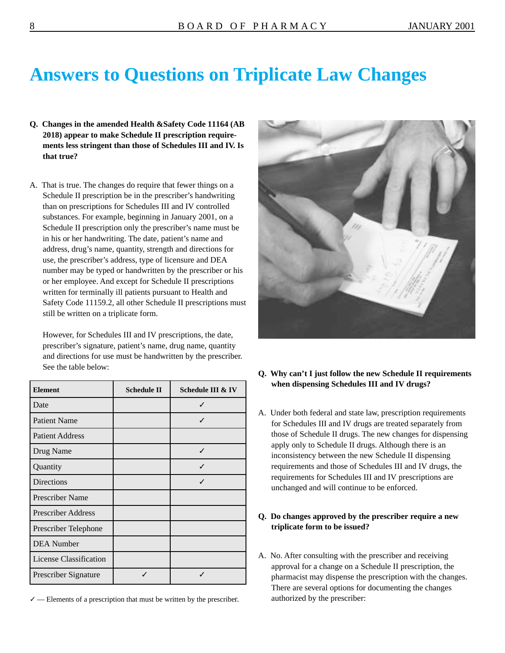# **Answers to Questions on Triplicate Law Changes**

- **Q. Changes in the amended Health &Safety Code 11164 (AB 2018) appear to make Schedule II prescription requirements less stringent than those of Schedules III and IV. Is that true?**
- A. That is true. The changes do require that fewer things on a Schedule II prescription be in the prescriber's handwriting than on prescriptions for Schedules III and IV controlled substances. For example, beginning in January 2001, on a Schedule II prescription only the prescriber's name must be in his or her handwriting. The date, patient's name and address, drug's name, quantity, strength and directions for use, the prescriber's address, type of licensure and DEA number may be typed or handwritten by the prescriber or his or her employee. And except for Schedule II prescriptions written for terminally ill patients pursuant to Health and Safety Code 11159.2, all other Schedule II prescriptions must still be written on a triplicate form.

However, for Schedules III and IV prescriptions, the date, prescriber's signature, patient's name, drug name, quantity and directions for use must be handwritten by the prescriber. See the table below:

| <b>Element</b>                | <b>Schedule II</b> | Schedule III & IV |
|-------------------------------|--------------------|-------------------|
| Date                          |                    |                   |
| <b>Patient Name</b>           |                    |                   |
| <b>Patient Address</b>        |                    |                   |
| Drug Name                     |                    |                   |
| Quantity                      |                    |                   |
| <b>Directions</b>             |                    |                   |
| <b>Prescriber Name</b>        |                    |                   |
| <b>Prescriber Address</b>     |                    |                   |
| Prescriber Telephone          |                    |                   |
| <b>DEA</b> Number             |                    |                   |
| <b>License Classification</b> |                    |                   |
| Prescriber Signature          |                    |                   |

 $\checkmark$  — Elements of a prescription that must be written by the prescriber.



### **Q. Why can't I just follow the new Schedule II requirements when dispensing Schedules III and IV drugs?**

A. Under both federal and state law, prescription requirements for Schedules III and IV drugs are treated separately from those of Schedule II drugs. The new changes for dispensing apply only to Schedule II drugs. Although there is an inconsistency between the new Schedule II dispensing requirements and those of Schedules III and IV drugs, the requirements for Schedules III and IV prescriptions are unchanged and will continue to be enforced.

### **Q. Do changes approved by the prescriber require a new triplicate form to be issued?**

A. No. After consulting with the prescriber and receiving approval for a change on a Schedule II prescription, the pharmacist may dispense the prescription with the changes. There are several options for documenting the changes authorized by the prescriber: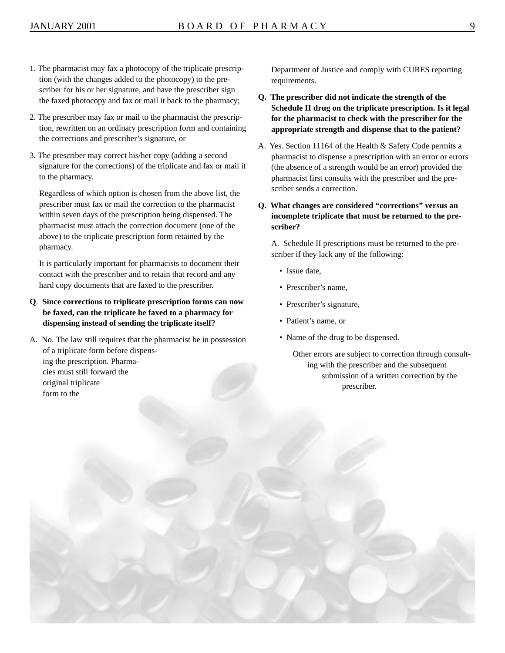- 1. The pharmacist may fax a photocopy of the triplicate prescription (with the changes added to the photocopy) to the prescriber for his or her signature, and have the prescriber sign the faxed photocopy and fax or mail it back to the pharmacy;
- 2. The prescriber may fax or mail to the pharmacist the prescription, rewritten on an ordinary prescription form and containing the corrections and prescriber's signature, or
- 3. The prescriber may correct his/her copy (adding a second signature for the corrections) of the triplicate and fax or mail it to the pharmacy.

Regardless of which option is chosen from the above list, the prescriber must fax or mail the correction to the pharmacist within seven days of the prescription being dispensed. The pharmacist must attach the correction document (one of the above) to the triplicate prescription form retained by the pharmacy.

It is particularly important for pharmacists to document their contact with the prescriber and to retain that record and any hard copy documents that are faxed to the prescriber.

- **Q**. **Since corrections to triplicate prescription forms can now be faxed, can the triplicate be faxed to a pharmacy for dispensing instead of sending the triplicate itself?**
- A. No. The law still requires that the pharmacist be in possession of a triplicate form before dispensing the prescription. Pharmacies must still forward the original triplicate form to the

Department of Justice and comply with CURES reporting requirements.

- **Q. The prescriber did not indicate the strength of the Schedule II drug on the triplicate prescription. Is it legal for the pharmacist to check with the prescriber for the appropriate strength and dispense that to the patient?**
- A. Yes. Section 11164 of the Health & Safety Code permits a pharmacist to dispense a prescription with an error or errors (the absence of a strength would be an error) provided the pharmacist first consults with the prescriber and the prescriber sends a correction.
- **Q. What changes are considered "corrections" versus an incomplete triplicate that must be returned to the prescriber?**

A. Schedule II prescriptions must be returned to the prescriber if they lack any of the following:

- Issue date,
- Prescriber's name,
- Prescriber's signature,
- Patient's name, or
- Name of the drug to be dispensed.

Other errors are subject to correction through consulting with the prescriber and the subsequent submission of a written correction by the prescriber.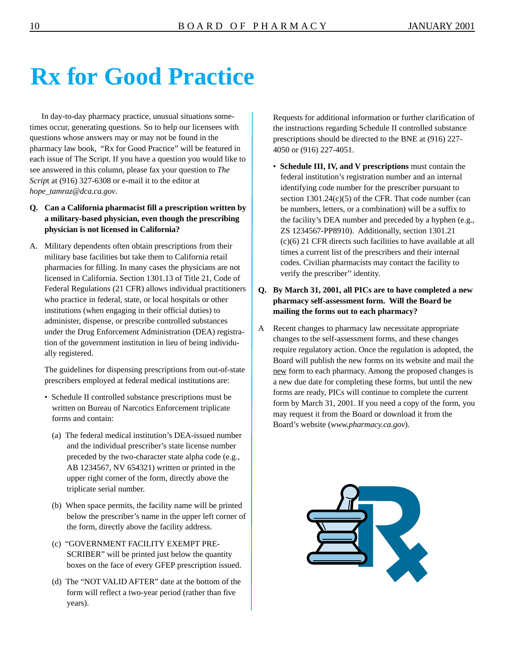# **Rx for Good Practice**

In day-to-day pharmacy practice, unusual situations sometimes occur, generating questions. So to help our licensees with questions whose answers may or may not be found in the pharmacy law book, "Rx for Good Practice" will be featured in each issue of The Script. If you have a question you would like to see answered in this column, please fax your question to *The Scrip*t at (916) 327-6308 or e-mail it to the editor at *[hope\\_tamraz@dca.ca.gov](mailto:hope_tamraz@dca.ca.gov)*.

- **Q. Can a California pharmacist fill a prescription written by a military-based physician, even though the prescribing physician is not licensed in California?**
- A. Military dependents often obtain prescriptions from their military base facilities but take them to California retail pharmacies for filling. In many cases the physicians are not licensed in California. Section 1301.13 of Title 21, Code of Federal Regulations (21 CFR) allows individual practitioners who practice in federal, state, or local hospitals or other institutions (when engaging in their official duties) to administer, dispense, or prescribe controlled substances under the Drug Enforcement Administration (DEA) registration of the government institution in lieu of being individually registered.

The guidelines for dispensing prescriptions from out-of-state prescribers employed at federal medical institutions are:

- Schedule II controlled substance prescriptions must be written on Bureau of Narcotics Enforcement triplicate forms and contain:
	- (a) The federal medical institution's DEA-issued number and the individual prescriber's state license number preceded by the two-character state alpha code (e.g., AB 1234567, NV 654321) written or printed in the upper right corner of the form, directly above the triplicate serial number.
	- (b) When space permits, the facility name will be printed below the prescriber's name in the upper left corner of the form, directly above the facility address.
	- (c) "GOVERNMENT FACILITY EXEMPT PRE-SCRIBER" will be printed just below the quantity boxes on the face of every GFEP prescription issued.
	- (d) The "NOT VALID AFTER" date at the bottom of the form will reflect a two-year period (rather than five years).

Requests for additional information or further clarification of the instructions regarding Schedule II controlled substance prescriptions should be directed to the BNE at (916) 227- 4050 or (916) 227-4051.

- **Schedule III, IV, and V prescriptions** must contain the federal institution's registration number and an internal identifying code number for the prescriber pursuant to section 1301.24(c)(5) of the CFR. That code number (can be numbers, letters, or a combination) will be a suffix to the facility's DEA number and preceded by a hyphen (e.g., ZS 1234567-PP8910). Additionally, section 1301.21 (c)(6) 21 CFR directs such facilities to have available at all times a current list of the prescribers and their internal codes. Civilian pharmacists may contact the facility to verify the prescriber'' identity.
- **Q. By March 31, 2001, all PICs are to have completed a new pharmacy self-assessment form. Will the Board be mailing the forms out to each pharmacy?**
- A Recent changes to pharmacy law necessitate appropriate changes to the self-assessment forms, and these changes require regulatory action. Once the regulation is adopted, the Board will publish the new forms on its website and mail the new form to each pharmacy. Among the proposed changes is a new due date for completing these forms, but until the new forms are ready, PICs will continue to complete the current form by March 31, 2001. If you need a copy of the form, you may request it from the Board or download it from the Board's website (*<www.pharmacy.ca.gov>*).

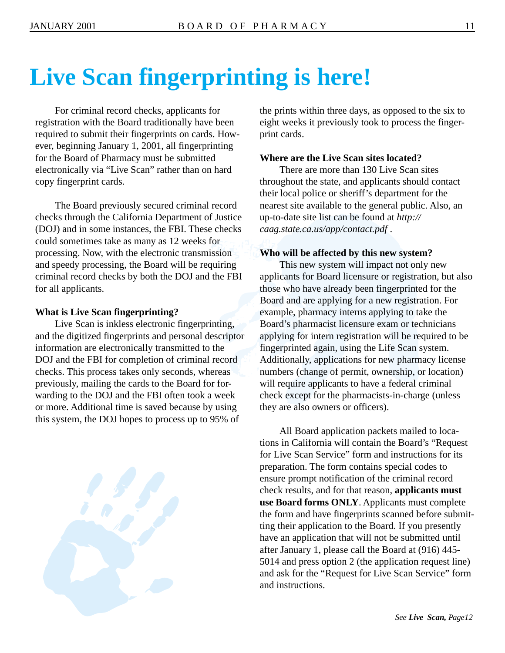# **Live Scan fingerprinting is here!**

For criminal record checks, applicants for registration with the Board traditionally have been required to submit their fingerprints on cards. However, beginning January 1, 2001, all fingerprinting for the Board of Pharmacy must be submitted electronically via "Live Scan" rather than on hard copy fingerprint cards.

The Board previously secured criminal record checks through the California Department of Justice (DOJ) and in some instances, the FBI. These checks could sometimes take as many as 12 weeks for processing. Now, with the electronic transmission and speedy processing, the Board will be requiring criminal record checks by both the DOJ and the FBI for all applicants.

### **What is Live Scan fingerprinting?**

Live Scan is inkless electronic fingerprinting, and the digitized fingerprints and personal descriptor information are electronically transmitted to the DOJ and the FBI for completion of criminal record checks. This process takes only seconds, whereas previously, mailing the cards to the Board for forwarding to the DOJ and the FBI often took a week or more. Additional time is saved because by using this system, the DOJ hopes to process up to 95% of

the prints within three days, as opposed to the six to eight weeks it previously took to process the fingerprint cards.

### **Where are the Live Scan sites located?**

There are more than 130 Live Scan sites throughout the state, and applicants should contact their local police or sheriff's department for the nearest site available to the general public. Also, an up-to-date site list can be found at *http:// caag.state.ca.us/app/contact.pdf* .

### **Who will be affected by this new system?**

This new system will impact not only new applicants for Board licensure or registration, but also those who have already been fingerprinted for the Board and are applying for a new registration. For example, pharmacy interns applying to take the Board's pharmacist licensure exam or technicians applying for intern registration will be required to be fingerprinted again, using the Life Scan system. Additionally, applications for new pharmacy license numbers (change of permit, ownership, or location) will require applicants to have a federal criminal check except for the pharmacists-in-charge (unless they are also owners or officers).

All Board application packets mailed to locations in California will contain the Board's "Request for Live Scan Service" form and instructions for its preparation. The form contains special codes to ensure prompt notification of the criminal record check results, and for that reason, **applicants must use Board forms ONLY**. Applicants must complete the form and have fingerprints scanned before submitting their application to the Board. If you presently have an application that will not be submitted until after January 1, please call the Board at (916) 445- 5014 and press option 2 (the application request line) and ask for the "Request for Live Scan Service" form and instructions.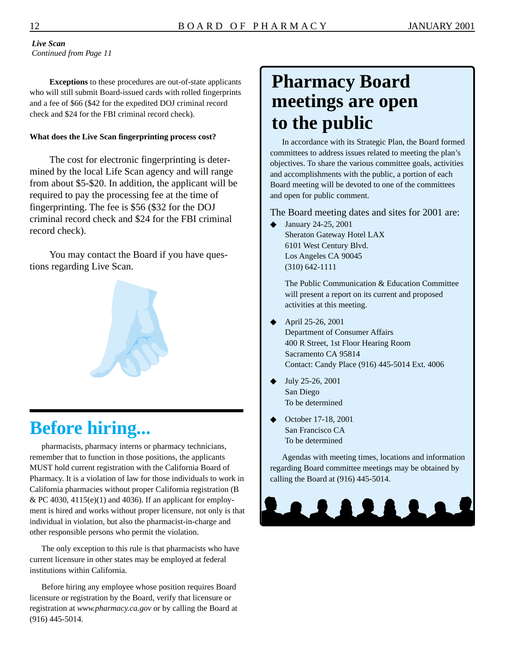*Live Scan Continued from Page 11* 

**Exceptions** to these procedures are out-of-state applicants who will still submit Board-issued cards with rolled fingerprints and a fee of \$66 (\$42 for the expedited DOJ criminal record check and \$24 for the FBI criminal record check).

### **What does the Live Scan fingerprinting process cost?**

The cost for electronic fingerprinting is determined by the local Life Scan agency and will range from about \$5-\$20. In addition, the applicant will be required to pay the processing fee at the time of fingerprinting. The fee is \$56 (\$32 for the DOJ criminal record check and \$24 for the FBI criminal record check).

You may contact the Board if you have questions regarding Live Scan.



# **Before hiring...**

pharmacists, pharmacy interns or pharmacy technicians, remember that to function in those positions, the applicants MUST hold current registration with the California Board of Pharmacy. It is a violation of law for those individuals to work in California pharmacies without proper California registration (B  $\&$  PC 4030, 4115(e)(1) and 4036). If an applicant for employment is hired and works without proper licensure, not only is that individual in violation, but also the pharmacist-in-charge and other responsible persons who permit the violation.

The only exception to this rule is that pharmacists who have current licensure in other states may be employed at federal institutions within California.

Before hiring any employee whose position requires Board licensure or registration by the Board, verify that licensure or registration at *<www.pharmacy.ca.gov>* or by calling the Board at (916) 445-5014.

# **Pharmacy Board meetings are open to the public**

In accordance with its Strategic Plan, the Board formed committees to address issues related to meeting the plan's objectives. To share the various committee goals, activities and accomplishments with the public, a portion of each Board meeting will be devoted to one of the committees and open for public comment.

The Board meeting dates and sites for 2001 are:

 January 24-25, 2001 Sheraton Gateway Hotel LAX 6101 West Century Blvd. Los Angeles CA 90045 (310) 642-1111

> The Public Communication & Education Committee will present a report on its current and proposed activities at this meeting.

April 25-26, 2001

Department of Consumer Affairs 400 R Street, 1st Floor Hearing Room Sacramento CA 95814 Contact: Candy Place (916) 445-5014 Ext. 4006

- July 25-26, 2001 San Diego To be determined
- October 17-18, 2001 San Francisco CA To be determined

Agendas with meeting times, locations and information regarding Board committee meetings may be obtained by calling the Board at (916) 445-5014.

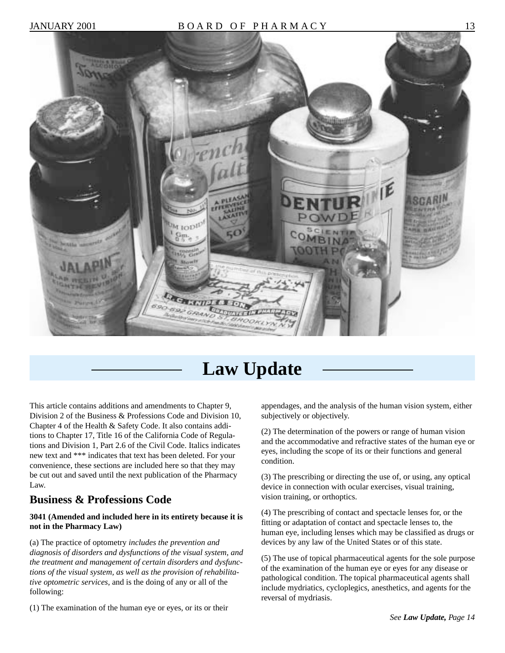

This article contains additions and amendments to Chapter 9, Division 2 of the Business & Professions Code and Division 10, Chapter 4 of the Health & Safety Code. It also contains additions to Chapter 17, Title 16 of the California Code of Regulations and Division 1, Part 2.6 of the Civil Code. Italics indicates new text and \*\*\* indicates that text has been deleted. For your convenience, these sections are included here so that they may be cut out and saved until the next publication of the Pharmacy Law.

## **Business & Professions Code**

#### **3041 (Amended and included here in its entirety because it is not in the Pharmacy Law)**

(a) The practice of optometry *includes the prevention and diagnosis of disorders and dysfunctions of the visual system, and the treatment and management of certain disorders and dysfunctions of the visual system, as well as the provision of rehabilitative optometric services*, and is the doing of any or all of the following:

appendages, and the analysis of the human vision system, either subjectively or objectively.

(2) The determination of the powers or range of human vision and the accommodative and refractive states of the human eye or eyes, including the scope of its or their functions and general condition.

(3) The prescribing or directing the use of, or using, any optical device in connection with ocular exercises, visual training, vision training, or orthoptics.

(4) The prescribing of contact and spectacle lenses for, or the fitting or adaptation of contact and spectacle lenses to, the human eye, including lenses which may be classified as drugs or devices by any law of the United States or of this state.

(5) The use of topical pharmaceutical agents for the sole purpose of the examination of the human eye or eyes for any disease or pathological condition. The topical pharmaceutical agents shall include mydriatics, cycloplegics, anesthetics, and agents for the reversal of mydriasis.

(1) The examination of the human eye or eyes, or its or their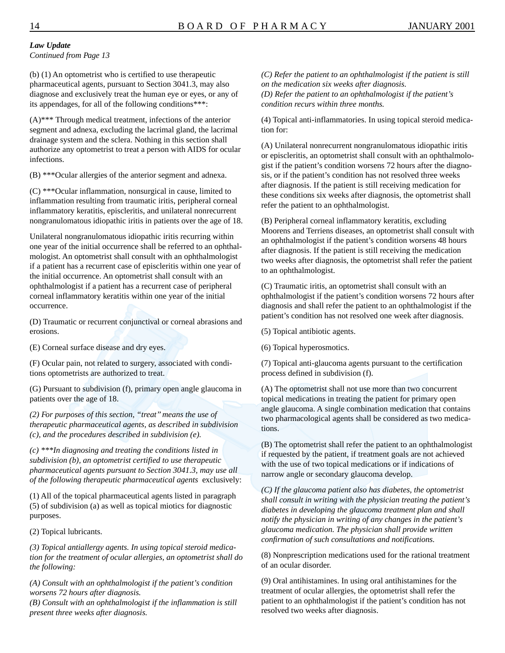*Continued from Page 13* 

(b) (1) An optometrist who is certified to use therapeutic pharmaceutical agents, pursuant to Section 3041.3, may also diagnose and exclusively treat the human eye or eyes, or any of its appendages, for all of the following conditions\*\*\*:

(A)\*\*\* Through medical treatment, infections of the anterior segment and adnexa, excluding the lacrimal gland, the lacrimal drainage system and the sclera. Nothing in this section shall authorize any optometrist to treat a person with AIDS for ocular infections.

(B) \*\*\*Ocular allergies of the anterior segment and adnexa.

(C) \*\*\*Ocular inflammation, nonsurgical in cause, limited to inflammation resulting from traumatic iritis, peripheral corneal inflammatory keratitis, episcleritis, and unilateral nonrecurrent nongranulomatous idiopathic iritis in patients over the age of 18.

Unilateral nongranulomatous idiopathic iritis recurring within one year of the initial occurrence shall be referred to an ophthalmologist. An optometrist shall consult with an ophthalmologist if a patient has a recurrent case of episcleritis within one year of the initial occurrence. An optometrist shall consult with an ophthalmologist if a patient has a recurrent case of peripheral corneal inflammatory keratitis within one year of the initial occurrence.

(D) Traumatic or recurrent conjunctival or corneal abrasions and erosions.

(E) Corneal surface disease and dry eyes.

(F) Ocular pain, not related to surgery, associated with conditions optometrists are authorized to treat.

(G) Pursuant to subdivision (f), primary open angle glaucoma in patients over the age of 18.

*(2) For purposes of this section, "treat'' means the use of therapeutic pharmaceutical agents, as described in subdivision (c), and the procedures described in subdivision (e).* 

*(c) \*\*\*In diagnosing and treating the conditions listed in subdivision (b), an optometrist certified to use therapeutic pharmaceutical agents pursuant to Section 3041.3, may use all of the following therapeutic pharmaceutical agents* exclusively:

(1) All of the topical pharmaceutical agents listed in paragraph (5) of subdivision (a) as well as topical miotics for diagnostic purposes.

(2) Topical lubricants.

*(3) Topical antiallergy agents. In using topical steroid medication for the treatment of ocular allergies, an optometrist shall do the following:* 

*(A) Consult with an ophthalmologist if the patient's condition worsens 72 hours after diagnosis.* 

*(B) Consult with an ophthalmologist if the inflammation is still present three weeks after diagnosis.* 

*(C) Refer the patient to an ophthalmologist if the patient is still on the medication six weeks after diagnosis.* 

*(D) Refer the patient to an ophthalmologist if the patient's condition recurs within three months.* 

(4) Topical anti-inflammatories. In using topical steroid medication for:

(A) Unilateral nonrecurrent nongranulomatous idiopathic iritis or episcleritis, an optometrist shall consult with an ophthalmologist if the patient's condition worsens 72 hours after the diagnosis, or if the patient's condition has not resolved three weeks after diagnosis. If the patient is still receiving medication for these conditions six weeks after diagnosis, the optometrist shall refer the patient to an ophthalmologist.

(B) Peripheral corneal inflammatory keratitis, excluding Moorens and Terriens diseases, an optometrist shall consult with an ophthalmologist if the patient's condition worsens 48 hours after diagnosis. If the patient is still receiving the medication two weeks after diagnosis, the optometrist shall refer the patient to an ophthalmologist.

(C) Traumatic iritis, an optometrist shall consult with an ophthalmologist if the patient's condition worsens 72 hours after diagnosis and shall refer the patient to an ophthalmologist if the patient's condition has not resolved one week after diagnosis.

(5) Topical antibiotic agents.

(6) Topical hyperosmotics.

(7) Topical anti-glaucoma agents pursuant to the certification process defined in subdivision (f).

(A) The optometrist shall not use more than two concurrent topical medications in treating the patient for primary open angle glaucoma. A single combination medication that contains two pharmacological agents shall be considered as two medications.

(B) The optometrist shall refer the patient to an ophthalmologist if requested by the patient, if treatment goals are not achieved with the use of two topical medications or if indications of narrow angle or secondary glaucoma develop.

*(C) If the glaucoma patient also has diabetes, the optometrist shall consult in writing with the physician treating the patient's diabetes in developing the glaucoma treatment plan and shall notify the physician in writing of any changes in the patient's glaucoma medication. The physician shall provide written confirmation of such consultations and notifications.* 

(8) Nonprescription medications used for the rational treatment of an ocular disorder.

(9) Oral antihistamines. In using oral antihistamines for the treatment of ocular allergies, the optometrist shall refer the patient to an ophthalmologist if the patient's condition has not resolved two weeks after diagnosis.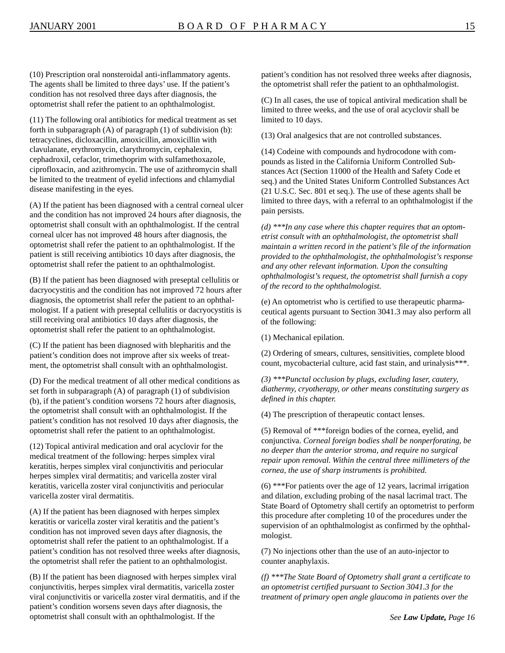(10) Prescription oral nonsteroidal anti-inflammatory agents. The agents shall be limited to three days' use. If the patient's condition has not resolved three days after diagnosis, the optometrist shall refer the patient to an ophthalmologist.

(11) The following oral antibiotics for medical treatment as set forth in subparagraph (A) of paragraph (1) of subdivision (b): tetracyclines, dicloxacillin, amoxicillin, amoxicillin with clavulanate, erythromycin, clarythromycin, cephalexin, cephadroxil, cefaclor, trimethoprim with sulfamethoxazole, ciprofloxacin, and azithromycin. The use of azithromycin shall be limited to the treatment of eyelid infections and chlamydial disease manifesting in the eyes.

(A) If the patient has been diagnosed with a central corneal ulcer and the condition has not improved 24 hours after diagnosis, the optometrist shall consult with an ophthalmologist. If the central corneal ulcer has not improved 48 hours after diagnosis, the optometrist shall refer the patient to an ophthalmologist. If the patient is still receiving antibiotics 10 days after diagnosis, the optometrist shall refer the patient to an ophthalmologist.

(B) If the patient has been diagnosed with preseptal cellulitis or dacryocystitis and the condition has not improved 72 hours after diagnosis, the optometrist shall refer the patient to an ophthalmologist. If a patient with preseptal cellulitis or dacryocystitis is still receiving oral antibiotics 10 days after diagnosis, the optometrist shall refer the patient to an ophthalmologist.

(C) If the patient has been diagnosed with blepharitis and the patient's condition does not improve after six weeks of treatment, the optometrist shall consult with an ophthalmologist.

(D) For the medical treatment of all other medical conditions as set forth in subparagraph (A) of paragraph (1) of subdivision (b), if the patient's condition worsens 72 hours after diagnosis, the optometrist shall consult with an ophthalmologist. If the patient's condition has not resolved 10 days after diagnosis, the optometrist shall refer the patient to an ophthalmologist.

(12) Topical antiviral medication and oral acyclovir for the medical treatment of the following: herpes simplex viral keratitis, herpes simplex viral conjunctivitis and periocular herpes simplex viral dermatitis; and varicella zoster viral keratitis, varicella zoster viral conjunctivitis and periocular varicella zoster viral dermatitis.

(A) If the patient has been diagnosed with herpes simplex keratitis or varicella zoster viral keratitis and the patient's condition has not improved seven days after diagnosis, the optometrist shall refer the patient to an ophthalmologist. If a patient's condition has not resolved three weeks after diagnosis, the optometrist shall refer the patient to an ophthalmologist.

(B) If the patient has been diagnosed with herpes simplex viral conjunctivitis, herpes simplex viral dermatitis, varicella zoster viral conjunctivitis or varicella zoster viral dermatitis, and if the patient's condition worsens seven days after diagnosis, the optometrist shall consult with an ophthalmologist. If the

patient's condition has not resolved three weeks after diagnosis, the optometrist shall refer the patient to an ophthalmologist.

(C) In all cases, the use of topical antiviral medication shall be limited to three weeks, and the use of oral acyclovir shall be limited to 10 days.

(13) Oral analgesics that are not controlled substances.

(14) Codeine with compounds and hydrocodone with compounds as listed in the California Uniform Controlled Substances Act (Section 11000 of the Health and Safety Code et seq.) and the United States Uniform Controlled Substances Act (21 U.S.C. Sec. 801 et seq.). The use of these agents shall be limited to three days, with a referral to an ophthalmologist if the pain persists.

*(d) \*\*\*In any case where this chapter requires that an optometrist consult with an ophthalmologist, the optometrist shall maintain a written record in the patient's file of the information provided to the ophthalmologist, the ophthalmologist's response and any other relevant information. Upon the consulting ophthalmologist's request, the optometrist shall furnish a copy of the record to the ophthalmologist.* 

(e) An optometrist who is certified to use therapeutic pharmaceutical agents pursuant to Section 3041.3 may also perform all of the following:

(1) Mechanical epilation.

(2) Ordering of smears, cultures, sensitivities, complete blood count, mycobacterial culture, acid fast stain, and urinalysis\*\*\*.

*(3) \*\*\*Punctal occlusion by plugs, excluding laser, cautery, diathermy, cryotherapy, or other means constituting surgery as defined in this chapter.* 

(4) The prescription of therapeutic contact lenses.

(5) Removal of \*\*\*foreign bodies of the cornea, eyelid, and conjunctiva. *Corneal foreign bodies shall be nonperforating, be no deeper than the anterior stroma, and require no surgical repair upon removal. Within the central three millimeters of the cornea, the use of sharp instruments is prohibited.* 

(6) \*\*\*For patients over the age of 12 years, lacrimal irrigation and dilation, excluding probing of the nasal lacrimal tract. The State Board of Optometry shall certify an optometrist to perform this procedure after completing 10 of the procedures under the supervision of an ophthalmologist as confirmed by the ophthalmologist.

(7) No injections other than the use of an auto-injector to counter anaphylaxis.

*(f) \*\*\*The State Board of Optometry shall grant a certificate to an optometrist certified pursuant to Section 3041.3 for the treatment of primary open angle glaucoma in patients over the*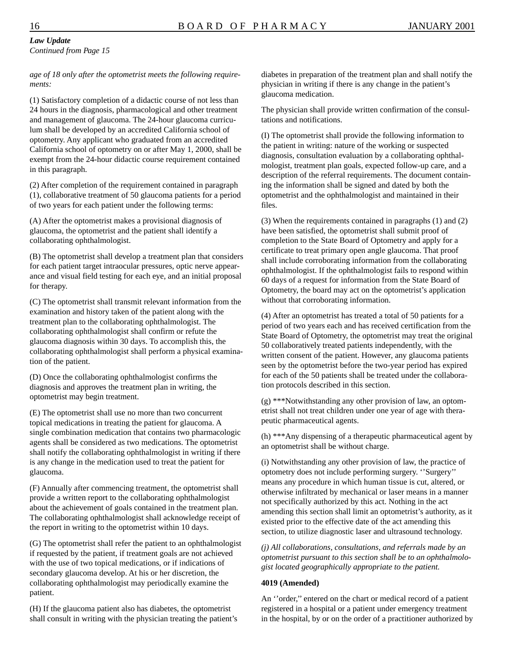*Continued from Page 15* 

#### *age of 18 only after the optometrist meets the following requirements:*

(1) Satisfactory completion of a didactic course of not less than 24 hours in the diagnosis, pharmacological and other treatment and management of glaucoma. The 24-hour glaucoma curriculum shall be developed by an accredited California school of optometry. Any applicant who graduated from an accredited California school of optometry on or after May 1, 2000, shall be exempt from the 24-hour didactic course requirement contained in this paragraph.

(2) After completion of the requirement contained in paragraph (1), collaborative treatment of 50 glaucoma patients for a period of two years for each patient under the following terms:

(A) After the optometrist makes a provisional diagnosis of glaucoma, the optometrist and the patient shall identify a collaborating ophthalmologist.

(B) The optometrist shall develop a treatment plan that considers for each patient target intraocular pressures, optic nerve appearance and visual field testing for each eye, and an initial proposal for therapy.

(C) The optometrist shall transmit relevant information from the examination and history taken of the patient along with the treatment plan to the collaborating ophthalmologist. The collaborating ophthalmologist shall confirm or refute the glaucoma diagnosis within 30 days. To accomplish this, the collaborating ophthalmologist shall perform a physical examination of the patient.

(D) Once the collaborating ophthalmologist confirms the diagnosis and approves the treatment plan in writing, the optometrist may begin treatment.

(E) The optometrist shall use no more than two concurrent topical medications in treating the patient for glaucoma. A single combination medication that contains two pharmacologic agents shall be considered as two medications. The optometrist shall notify the collaborating ophthalmologist in writing if there is any change in the medication used to treat the patient for glaucoma.

(F) Annually after commencing treatment, the optometrist shall provide a written report to the collaborating ophthalmologist about the achievement of goals contained in the treatment plan. The collaborating ophthalmologist shall acknowledge receipt of the report in writing to the optometrist within 10 days.

(G) The optometrist shall refer the patient to an ophthalmologist if requested by the patient, if treatment goals are not achieved with the use of two topical medications, or if indications of secondary glaucoma develop. At his or her discretion, the collaborating ophthalmologist may periodically examine the patient.

(H) If the glaucoma patient also has diabetes, the optometrist shall consult in writing with the physician treating the patient's diabetes in preparation of the treatment plan and shall notify the physician in writing if there is any change in the patient's glaucoma medication.

The physician shall provide written confirmation of the consultations and notifications.

(I) The optometrist shall provide the following information to the patient in writing: nature of the working or suspected diagnosis, consultation evaluation by a collaborating ophthalmologist, treatment plan goals, expected follow-up care, and a description of the referral requirements. The document containing the information shall be signed and dated by both the optometrist and the ophthalmologist and maintained in their files.

(3) When the requirements contained in paragraphs (1) and (2) have been satisfied, the optometrist shall submit proof of completion to the State Board of Optometry and apply for a certificate to treat primary open angle glaucoma. That proof shall include corroborating information from the collaborating ophthalmologist. If the ophthalmologist fails to respond within 60 days of a request for information from the State Board of Optometry, the board may act on the optometrist's application without that corroborating information.

(4) After an optometrist has treated a total of 50 patients for a period of two years each and has received certification from the State Board of Optometry, the optometrist may treat the original 50 collaboratively treated patients independently, with the written consent of the patient. However, any glaucoma patients seen by the optometrist before the two-year period has expired for each of the 50 patients shall be treated under the collaboration protocols described in this section.

(g) \*\*\*Notwithstanding any other provision of law, an optometrist shall not treat children under one year of age with therapeutic pharmaceutical agents.

(h) \*\*\*Any dispensing of a therapeutic pharmaceutical agent by an optometrist shall be without charge.

(i) Notwithstanding any other provision of law, the practice of optometry does not include performing surgery. ''Surgery'' means any procedure in which human tissue is cut, altered, or otherwise infiltrated by mechanical or laser means in a manner not specifically authorized by this act. Nothing in the act amending this section shall limit an optometrist's authority, as it existed prior to the effective date of the act amending this section, to utilize diagnostic laser and ultrasound technology.

*(j) All collaborations, consultations, and referrals made by an optometrist pursuant to this section shall be to an ophthalmologist located geographically appropriate to the patient.* 

### **4019 (Amended)**

An ''order,'' entered on the chart or medical record of a patient registered in a hospital or a patient under emergency treatment in the hospital, by or on the order of a practitioner authorized by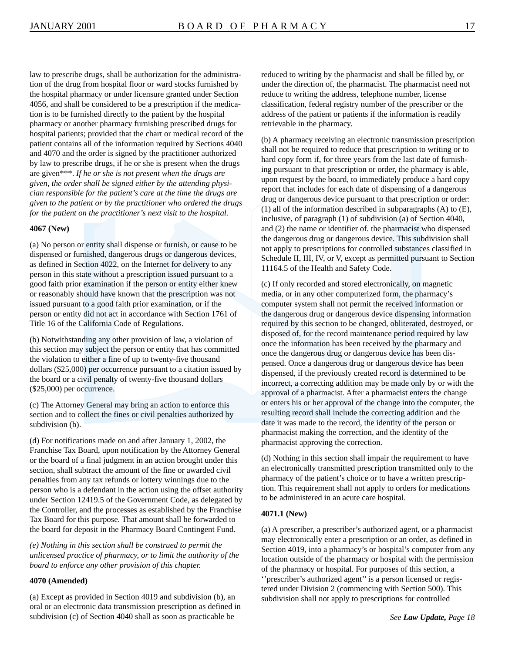*given to the patient or by the practitioner who ordered the drugs for the patient on the practitioner's next visit to the hospital.*  law to prescribe drugs, shall be authorization for the administration of the drug from hospital floor or ward stocks furnished by the hospital pharmacy or under licensure granted under Section 4056, and shall be considered to be a prescription if the medication is to be furnished directly to the patient by the hospital pharmacy or another pharmacy furnishing prescribed drugs for hospital patients; provided that the chart or medical record of the patient contains all of the information required by Sections 4040 and 4070 and the order is signed by the practitioner authorized by law to prescribe drugs, if he or she is present when the drugs are given\*\*\*. *If he or she is not present when the drugs are given, the order shall be signed either by the attending physician responsible for the patient's care at the time the drugs are* 

#### **4067 (New)**

(a) No person or entity shall dispense or furnish, or cause to be dispensed or furnished, dangerous drugs or dangerous devices, as defined in Section 4022, on the Internet for delivery to any person in this state without a prescription issued pursuant to a good faith prior examination if the person or entity either knew or reasonably should have known that the prescription was not issued pursuant to a good faith prior examination, or if the person or entity did not act in accordance with Section 1761 of Title 16 of the California Code of Regulations.

(b) Notwithstanding any other provision of law, a violation of this section may subject the person or entity that has committed the violation to either a fine of up to twenty-five thousand dollars (\$25,000) per occurrence pursuant to a citation issued by the board or a civil penalty of twenty-five thousand dollars (\$25,000) per occurrence.

(c) The Attorney General may bring an action to enforce this section and to collect the fines or civil penalties authorized by subdivision (b).

(d) For notifications made on and after January 1, 2002, the Franchise Tax Board, upon notification by the Attorney General or the board of a final judgment in an action brought under this section, shall subtract the amount of the fine or awarded civil penalties from any tax refunds or lottery winnings due to the person who is a defendant in the action using the offset authority under Section 12419.5 of the Government Code, as delegated by the Controller, and the processes as established by the Franchise Tax Board for this purpose. That amount shall be forwarded to the board for deposit in the Pharmacy Board Contingent Fund.

*(e) Nothing in this section shall be construed to permit the unlicensed practice of pharmacy, or to limit the authority of the board to enforce any other provision of this chapter.* 

#### **4070 (Amended)**

(a) Except as provided in Section 4019 and subdivision (b), an oral or an electronic data transmission prescription as defined in subdivision (c) of Section 4040 shall as soon as practicable be

reduced to writing by the pharmacist and shall be filled by, or under the direction of, the pharmacist. The pharmacist need not reduce to writing the address, telephone number, license classification, federal registry number of the prescriber or the address of the patient or patients if the information is readily retrievable in the pharmacy.

drug or dangerous device pursuant to that prescription or order: (1) all of the information described in subparagraphs (A) to (E), inclusive, of paragraph (1) of subdivision (a) of Section 4040, and (2) the name or identifier of. the pharmacist who dispensed the dangerous drug or dangerous device. This subdivision shall not apply to prescriptions for controlled substances classified in Schedule II, III, IV, or V, except as permitted pursuant to Section 11164.5 of the Health and Safety Code. (b) A pharmacy receiving an electronic transmission prescription shall not be required to reduce that prescription to writing or to hard copy form if, for three years from the last date of furnishing pursuant to that prescription or order, the pharmacy is able, upon request by the board, to immediately produce a hard copy report that includes for each date of dispensing of a dangerous

(c) If only recorded and stored electronically, on magnetic media, or in any other computerized form, the pharmacy's computer system shall not permit the received information or the dangerous drug or dangerous device dispensing information required by this section to be changed, obliterated, destroyed, or disposed of, for the record maintenance period required by law once the information has been received by the pharmacy and once the dangerous drug or dangerous device has been dispensed. Once a dangerous drug or dangerous device has been dispensed, if the previously created record is determined to be incorrect, a correcting addition may be made only by or with the approval of a pharmacist. After a pharmacist enters the change or enters his or her approval of the change into the computer, the resulting record shall include the correcting addition and the date it was made to the record, the identity of the person or pharmacist making the correction, and the identity of the pharmacist approving the correction.

(d) Nothing in this section shall impair the requirement to have an electronically transmitted prescription transmitted only to the pharmacy of the patient's choice or to have a written prescription. This requirement shall not apply to orders for medications to be administered in an acute care hospital.

#### **4071.1 (New)**

(a) A prescriber, a prescriber's authorized agent, or a pharmacist may electronically enter a prescription or an order, as defined in Section 4019, into a pharmacy's or hospital's computer from any location outside of the pharmacy or hospital with the permission of the pharmacy or hospital. For purposes of this section, a ''prescriber's authorized agent'' is a person licensed or registered under Division 2 (commencing with Section 500). This subdivision shall not apply to prescriptions for controlled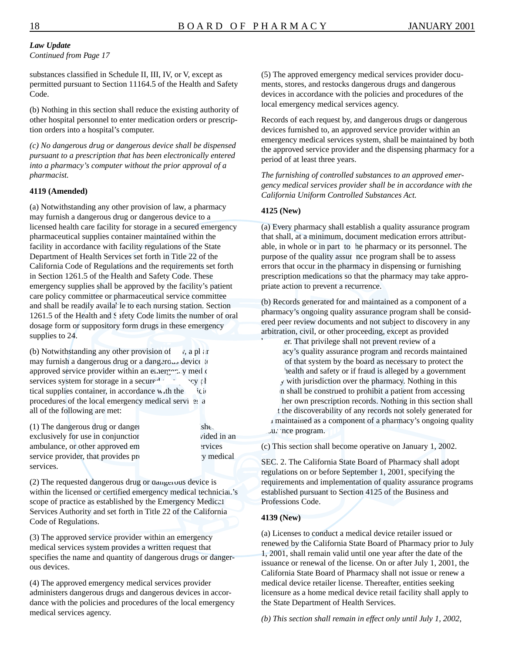*Continued from Page 17* 

substances classified in Schedule II, III, IV, or V, except as permitted pursuant to Section 11164.5 of the Health and Safety Code.

(b) Nothing in this section shall reduce the existing authority of other hospital personnel to enter medication orders or prescription orders into a hospital's computer.

*(c) No dangerous drug or dangerous device shall be dispensed pursuant to a prescription that has been electronically entered into a pharmacy's computer without the prior approval of a pharmacist.* 

#### **4119 (Amended)**

(a) Notwithstanding any other provision of law, a pharmacy may furnish a dangerous drug or dangerous device to a licensed health care facility for storage in a secured emergency pharmaceutical supplies container maintained within the facility in accordance with facility regulations of the State Department of Health Services set forth in Title 22 of the California Code of Regulations and the requirements set forth in Section 1261.5 of the Health and Safety Code. These emergency supplies shall be approved by the facility's patient care policy committee or pharmaceutical service committee and shall be readily availal le to each nursing station. Section 1261.5 of the Health and S afety Code limits the number of oral dosage form or suppository form drugs in these emergency supplies to 24.

(b) Notwithstanding any other provision of  $v$ , a pl and may furnish a dangerous drug or a dangerous device to approved service provider within an emergency medic services system for storage in a secured emergency pharmaceutical supplies container, in accordance with the policies procedures of the local emergency medical services a all of the following are met:

| (1) The dangerous drug or danger    | $s$ he.     |
|-------------------------------------|-------------|
| exclusively for use in conjunction  | vided in an |
| ambulance, or other approved em     | ervices     |
| service provider, that provides pro | y medical   |
| services.                           |             |

(2) The requested dangerous drug or dangerous device is within the licensed or certified emergency medical technician's scope of practice as established by the Emergency Medical Services Authority and set forth in Title 22 of the California Code of Regulations.

ous devices. (3) The approved service provider within an emergency medical services system provides a written request that specifies the name and quantity of dangerous drugs or danger-

(4) The approved emergency medical services provider administers dangerous drugs and dangerous devices in accordance with the policies and procedures of the local emergency medical services agency.

(5) The approved emergency medical services provider documents, stores, and restocks dangerous drugs and dangerous devices in accordance with the policies and procedures of the local emergency medical services agency.

Records of each request by, and dangerous drugs or dangerous devices furnished to, an approved service provider within an emergency medical services system, shall be maintained by both the approved service provider and the dispensing pharmacy for a period of at least three years.

*The furnishing of controlled substances to an approved emergency medical services provider shall be in accordance with the California Uniform Controlled Substances Act.* 

#### **4125 (New)**

(a) Every pharmacy shall establish a quality assurance program that shall, at a minimum, document medication errors attributable, in whole or in part to he pharmacy or its personnel. The purpose of the quality assurance program shall be to assess errors that occur in the pharmacy in dispensing or furnishing prescription medications so that the pharmacy may take appropriate action to prevent a recurrence.

(b) Records generated for and maintained as a component of a pharmacy's ongoing quality assurance program shall be considered peer review documents and not subject to discovery in any arbitration, civil, or other proceeding, except as provided

er. That privilege shall not prevent review of a acy's quality assurance program and records maintained of that system by the board as necessary to protect the health and safety or if fraud is alleged by a government  $y$  with jurisdiction over the pharmacy. Nothing in this in shall be construed to prohibit a patient from accessing her own prescription records. Nothing in this section shall

t the discoverability of any records not solely generated for and maintained as a component of a pharmacy's ongoing quality *aur* nce program.

(c) This section shall become operative on January 1, 2002.

SEC. 2. The California State Board of Pharmacy shall adopt regulations on or before September 1, 2001, specifying the requirements and implementation of quality assurance programs established pursuant to Section 4125 of the Business and Professions Code.

#### **4139 (New)**

(a) Licenses to conduct a medical device retailer issued or renewed by the California State Board of Pharmacy prior to July 1, 2001, shall remain valid until one year after the date of the issuance or renewal of the license. On or after July 1, 2001, the California State Board of Pharmacy shall not issue or renew a medical device retailer license. Thereafter, entities seeking licensure as a home medical device retail facility shall apply to the State Department of Health Services.

*(b) This section shall remain in effect only until July 1, 2002,*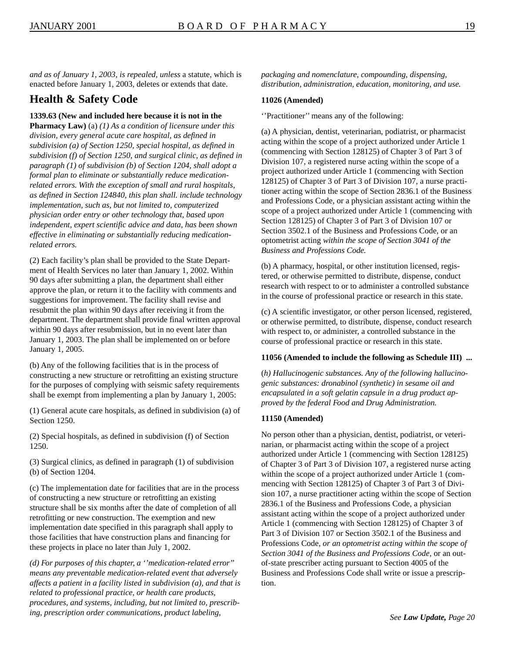*and as of January 1, 2003, is repealed, unless* a statute, which is enacted before January 1, 2003, deletes or extends that date.

# **Health & Safety Code**

#### **1339.63 (New and included here because it is not in the**

**Pharmacy Law)** (a) *(1) As a condition of licensure under this division, every general acute care hospital, as defined in subdivision (a) of Section 1250, special hospital, as defined in subdivision (f) of Section 1250, and surgical clinic, as defined in paragraph (1) of subdivision (b) of Section 1204, shall adopt a formal plan to eliminate or substantially reduce medicationrelated errors. With the exception of small and rural hospitals, as defined in Section 124840, this plan shall. include technology implementation, such as, but not limited to, computerized physician order entry or other technology that, based upon independent, expert scientific advice and data, has been shown effective in eliminating or substantially reducing medicationrelated errors.* 

(2) Each facility's plan shall be provided to the State Department of Health Services no later than January 1, 2002. Within 90 days after submitting a plan, the department shall either approve the plan, or return it to the facility with comments and suggestions for improvement. The facility shall revise and resubmit the plan within 90 days after receiving it from the department. The department shall provide final written approval within 90 days after resubmission, but in no event later than January 1, 2003. The plan shall be implemented on or before January 1, 2005.

(b) Any of the following facilities that is in the process of constructing a new structure or retrofitting an existing structure for the purposes of complying with seismic safety requirements shall be exempt from implementing a plan by January 1, 2005:

(1) General acute care hospitals, as defined in subdivision (a) of Section 1250.

(2) Special hospitals, as defined in subdivision (f) of Section 1250.

(3) Surgical clinics, as defined in paragraph (1) of subdivision (b) of Section 1204.

(c) The implementation date for facilities that are in the process of constructing a new structure or retrofitting an existing structure shall be six months after the date of completion of all retrofitting or new construction. The exemption and new implementation date specified in this paragraph shall apply to those facilities that have construction plans and financing for these projects in place no later than July 1, 2002.

*(d) For purposes of this chapter, a ''medication-related error'' means any preventable medication-related event that adversely affects a patient in a facility listed in subdivision (a), and that is related to professional practice, or health care products, procedures, and systems, including, but not limited to, prescribing, prescription order communications, product labeling,* 

*packaging and nomenclature, compounding, dispensing, distribution, administration, education, monitoring, and use.* 

#### **11026 (Amended)**

''Practitioner'' means any of the following:

(a) A physician, dentist, veterinarian, podiatrist, or pharmacist acting within the scope of a project authorized under Article 1 (commencing with Section 128125) of Chapter 3 of Part 3 of Division 107, a registered nurse acting within the scope of a project authorized under Article 1 (commencing with Section 128125) of Chapter 3 of Part 3 of Division 107, a nurse practitioner acting within the scope of Section 2836.1 of the Business and Professions Code, or a physician assistant acting within the scope of a project authorized under Article 1 (commencing with Section 128125) of Chapter 3 of Part 3 of Division 107 or Section 3502.1 of the Business and Professions Code, or an optometrist acting *within the scope of Section 3041 of the Business and Professions Code.* 

(b) A pharmacy, hospital, or other institution licensed, registered, or otherwise permitted to distribute, dispense, conduct research with respect to or to administer a controlled substance in the course of professional practice or research in this state.

(c) A scientific investigator, or other person licensed, registered, or otherwise permitted, to distribute, dispense, conduct research with respect to, or administer, a controlled substance in the course of professional practice or research in this state.

#### **11056 (Amended to include the following as Schedule III) ...**

(*h) Hallucinogenic substances. Any of the following hallucinogenic substances: dronabinol (synthetic) in sesame oil and encapsulated in a soft gelatin capsule in a drug product approved by the federal Food and Drug Administration.* 

#### **11150 (Amended)**

No person other than a physician, dentist, podiatrist, or veterinarian, or pharmacist acting within the scope of a project authorized under Article 1 (commencing with Section 128125) of Chapter 3 of Part 3 of Division 107, a registered nurse acting within the scope of a project authorized under Article 1 (commencing with Section 128125) of Chapter 3 of Part 3 of Division 107, a nurse practitioner acting within the scope of Section 2836.1 of the Business and Professions Code, a physician assistant acting within the scope of a project authorized under Article 1 (commencing with Section 128125) of Chapter 3 of Part 3 of Division 107 or Section 3502.1 of the Business and Professions Code, *or an optometrist acting within the scope of Section 3041 of the Business and Professions Code*, or an outof-state prescriber acting pursuant to Section 4005 of the Business and Professions Code shall write or issue a prescription.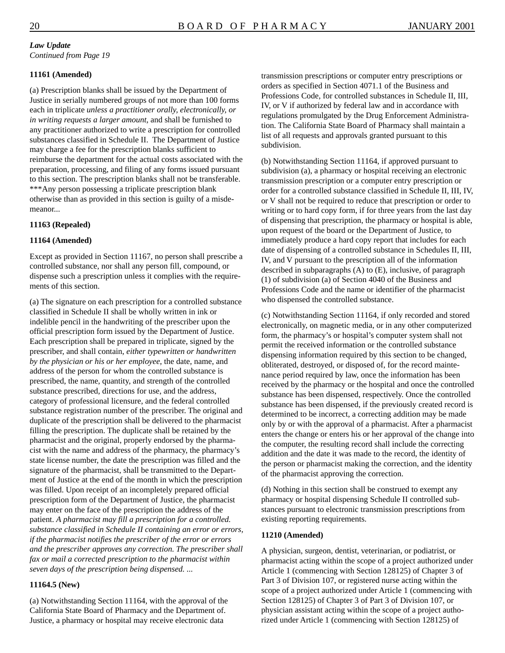### *Law Update Continued from Page 19*

#### **11161 (Amended)**

(a) Prescription blanks shall be issued by the Department of Justice in serially numbered groups of not more than 100 forms each in triplicate *unless a practitioner orally, electronically, or in writing requests a larger amount*, and shall be furnished to any practitioner authorized to write a prescription for controlled substances classified in Schedule II. The Department of Justice may charge a fee for the prescription blanks sufficient to reimburse the department for the actual costs associated with the preparation, processing, and filing of any forms issued pursuant to this section. The prescription blanks shall not be transferable. \*\*\*Any person possessing a triplicate prescription blank otherwise than as provided in this section is guilty of a misdemeanor...

### **11163 (Repealed)**

### **11164 (Amended)**

Except as provided in Section 11167, no person shall prescribe a controlled substance, nor shall any person fill, compound, or dispense such a prescription unless it complies with the requirements of this section.

(a) The signature on each prescription for a controlled substance classified in Schedule II shall be wholly written in ink or indelible pencil in the handwriting of the prescriber upon the official prescription form issued by the Department of Justice. Each prescription shall be prepared in triplicate, signed by the prescriber, and shall contain, *either typewritten or handwritten by the physician or his or her employee*, the date, name, and address of the person for whom the controlled substance is prescribed, the name, quantity, and strength of the controlled substance prescribed, directions for use, and the address, category of professional licensure, and the federal controlled substance registration number of the prescriber. The original and duplicate of the prescription shall be delivered to the pharmacist filling the prescription. The duplicate shall be retained by the pharmacist and the original, properly endorsed by the pharmacist with the name and address of the pharmacy, the pharmacy's state license number, the date the prescription was filled and the signature of the pharmacist, shall be transmitted to the Department of Justice at the end of the month in which the prescription was filled. Upon receipt of an incompletely prepared official prescription form of the Department of Justice, the pharmacist may enter on the face of the prescription the address of the patient. *A pharmacist may fill a prescription for a controlled. substance classified in Schedule II containing an error or errors, if the pharmacist notifies the prescriber of the error or errors and the prescriber approves any correction. The prescriber shall fax or mail a corrected prescription to the pharmacist within seven days of the prescription being dispensed. ...* 

#### **11164.5 (New)**

(a) Notwithstanding Section 11164, with the approval of the California State Board of Pharmacy and the Department of. Justice, a pharmacy or hospital may receive electronic data

transmission prescriptions or computer entry prescriptions or orders as specified in Section 4071.1 of the Business and Professions Code, for controlled substances in Schedule II, III, IV, or V if authorized by federal law and in accordance with regulations promulgated by the Drug Enforcement Administration. The California State Board of Pharmacy shall maintain a list of all requests and approvals granted pursuant to this subdivision.

(b) Notwithstanding Section 11164, if approved pursuant to subdivision (a), a pharmacy or hospital receiving an electronic transmission prescription or a computer entry prescription or order for a controlled substance classified in Schedule II, III, IV, or V shall not be required to reduce that prescription or order to writing or to hard copy form, if for three years from the last day of dispensing that prescription, the pharmacy or hospital is able, upon request of the board or the Department of Justice, to immediately produce a hard copy report that includes for each date of dispensing of a controlled substance in Schedules II, III, IV, and V pursuant to the prescription all of the information described in subparagraphs (A) to (E), inclusive, of paragraph (1) of subdivision (a) of Section 4040 of the Business and Professions Code and the name or identifier of the pharmacist who dispensed the controlled substance.

(c) Notwithstanding Section 11164, if only recorded and stored electronically, on magnetic media, or in any other computerized form, the pharmacy's or hospital's computer system shall not permit the received information or the controlled substance dispensing information required by this section to be changed, obliterated, destroyed, or disposed of, for the record maintenance period required by law, once the information has been received by the pharmacy or the hospital and once the controlled substance has been dispensed, respectively. Once the controlled substance has been dispensed, if the previously created record is determined to be incorrect, a correcting addition may be made only by or with the approval of a pharmacist. After a pharmacist enters the change or enters his or her approval of the change into the computer, the resulting record shall include the correcting addition and the date it was made to the record, the identity of the person or pharmacist making the correction, and the identity of the pharmacist approving the correction.

(d) Nothing in this section shall be construed to exempt any pharmacy or hospital dispensing Schedule II controlled substances pursuant to electronic transmission prescriptions from existing reporting requirements.

#### **11210 (Amended)**

A physician, surgeon, dentist, veterinarian, or podiatrist, or pharmacist acting within the scope of a project authorized under Article 1 (commencing with Section 128125) of Chapter 3 of Part 3 of Division 107, or registered nurse acting within the scope of a project authorized under Article 1 (commencing with Section 128125) of Chapter 3 of Part 3 of Division 107, or physician assistant acting within the scope of a project authorized under Article 1 (commencing with Section 128125) of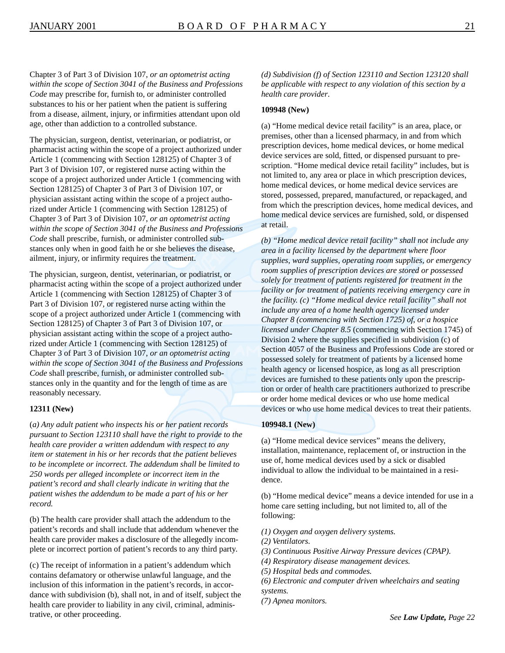Chapter 3 of Part 3 of Division 107, *or an optometrist acting within the scope of Section 3041 of the Business and Professions Code* may prescribe for, furnish to, or administer controlled substances to his or her patient when the patient is suffering from a disease, ailment, injury, or infirmities attendant upon old age, other than addiction to a controlled substance.

Chapter 3 of Part 3 of Division 107, *or an optometrist acting within the scope of Section 3041 of the Business and Professions Code* shall prescribe, furnish, or administer controlled substances only when in good faith he or she believes the disease, ailment, injury, or infirmity requires the treatment. The physician, surgeon, dentist, veterinarian, or podiatrist, or pharmacist acting within the scope of a project authorized under Article 1 (commencing with Section 128125) of Chapter 3 of Part 3 of Division 107, or registered nurse acting within the scope of a project authorized under Article 1 (commencing with Section 128125) of Chapter 3 of Part 3 of Division 107, or physician assistant acting within the scope of a project authorized under Article 1 (commencing with Section 128125) of

The physician, surgeon, dentist, veterinarian, or podiatrist, or pharmacist acting within the scope of a project authorized under Article 1 (commencing with Section 128125) of Chapter 3 of Part 3 of Division 107, or registered nurse acting within the scope of a project authorized under Article 1 (commencing with Section 128125) of Chapter 3 of Part 3 of Division 107, or physician assistant acting within the scope of a project authorized under Article 1 (commencing with Section 128125) of Chapter 3 of Part 3 of Division 107, *or an optometrist acting within the scope of Section 3041 of the Business and Professions Code* shall prescribe, furnish, or administer controlled substances only in the quantity and for the length of time as are reasonably necessary.

#### **12311 (New)**

(*a) Any adult patient who inspects his or her patient records pursuant to Section 123110 shall have the right to provide to the health care provider a written addendum with respect to any item or statement in his or her records that the patient believes to be incomplete or incorrect. The addendum shall be limited to 250 words per alleged incomplete or incorrect item in the patient's record and shall clearly indicate in writing that the patient wishes the addendum to be made a part of his or her record.* 

(b) The health care provider shall attach the addendum to the patient's records and shall include that addendum whenever the health care provider makes a disclosure of the allegedly incomplete or incorrect portion of patient's records to any third party.

(c) The receipt of information in a patient's addendum which contains defamatory or otherwise unlawful language, and the inclusion of this information in the patient's records, in accordance with subdivision (b), shall not, in and of itself, subject the health care provider to liability in any civil, criminal, administrative, or other proceeding.

*(d) Subdivision (f) of Section 123110 and Section 123120 shall be applicable with respect to any violation of this section by a health care provider*.

#### **109948 (New)**

home medical device services are furnished, sold, or dispensed at retail. (a) "Home medical device retail facility" is an area, place, or premises, other than a licensed pharmacy, in and from which prescription devices, home medical devices, or home medical device services are sold, fitted, or dispensed pursuant to prescription. "Home medical device retail facility" includes, but is not limited to, any area or place in which prescription devices, home medical devices, or home medical device services are stored, possessed, prepared, manufactured, or repackaged, and from which the prescription devices, home medical devices, and

*(b) "Home medical device retail facility" shall not include any area in a facility licensed by the department where floor supplies, ward supplies, operating room supplies, or emergency room supplies of prescription devices are stored or possessed solely for treatment of patients registered for treatment in the facility or for treatment of patients receiving emergency care in the facility. (c) "Home medical device retail facility" shall not include any area of a home health agency licensed under Chapter 8 (commencing with Section 1725) of, or a hospice licensed under Chapter 8.5* (commencing with Section 1745) of Division 2 where the supplies specified in subdivision (c) of Section 4057 of the Business and Professions Code are stored or possessed solely for treatment of patients by a licensed home health agency or licensed hospice, as long as all prescription devices are furnished to these patients only upon the prescription or order of health care practitioners authorized to prescribe or order home medical devices or who use home medical devices or who use home medical devices to treat their patients.

#### **109948.1 (New)**

(a) "Home medical device services" means the delivery, installation, maintenance, replacement of, or instruction in the use of, home medical devices used by a sick or disabled individual to allow the individual to be maintained in a residence.

(b) "Home medical device" means a device intended for use in a home care setting including, but not limited to, all of the following:

- *(1) Oxygen and oxygen delivery systems.*
- *(2) Ventilators.*
- *(3) Continuous Positive Airway Pressure devices (CPAP).*
- *(4) Respiratory disease management devices.*
- *(5) Hospital beds and commodes.*
- *(6) Electronic and computer driven wheelchairs and seating systems.*
- *(7) Apnea monitors.*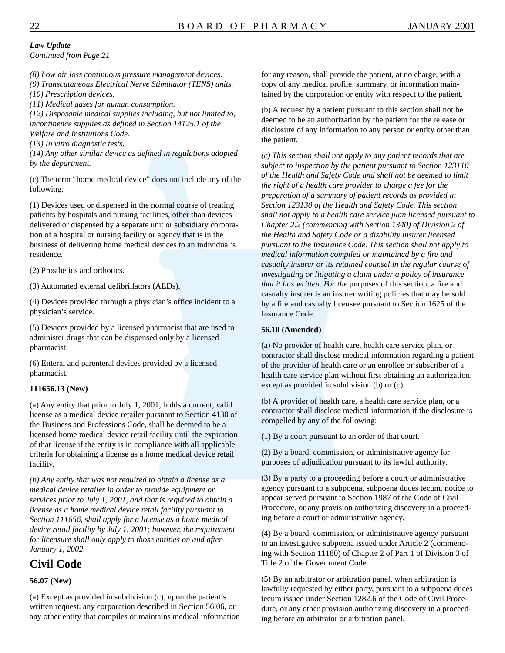*Continued from Page 21* 

*(8) Low air loss continuous pressure management devices. (9) Transcutaneous Electrical Nerve Stimulator (TENS) units.* 

*(10) Prescription devices.* 

*(11) Medical gases for human consumption.* 

*(12) Disposable medical supplies including, but not limited to, incontinence supplies as defined in Section 14125.1 of the Welfare and Institutions Code.* 

*(13) In vitro diagnostic tests.* 

*(14) Any other similar device as defined in regulations adopted by the department.* 

(c) The term "home medical device" does not include any of the following:

(1) Devices used or dispensed in the normal course of treating patients by hospitals and nursing facilities, other than devices delivered or dispensed by a separate unit or subsidiary corporation of a hospital or nursing facility or agency that is in the business of delivering home medical devices to an individual's residence.

(2) Prosthetics and orthotics.

(3) Automated external defibrillators (AEDs).

(4) Devices provided through a physician's office incident to a physician's service.

(5) Devices provided by a licensed pharmacist that are used to administer drugs that can be dispensed only by a licensed pharmacist.

(6) Enteral and parenteral devices provided by a licensed pharmacist.

#### **[111656.13](https://111656.13) (New)**

(a) Any entity that prior to July 1, 2001, holds a current, valid license as a medical device retailer pursuant to Section 4130 of the Business and Professions Code, shall be deemed to be a licensed home medical device retail facility until the expiration of that license if the entity is in compliance with all applicable criteria for obtaining a license as a home medical device retail facility.

*(b) Any entity that was not required to obtain a license as a medical device retailer in order to provide equipment or services prior to July 1, 2001, and that is required to obtain a license as a home medical device retail facility pursuant to Section 111656, shall apply for a license as a home medical device retail facility by July 1, 2001; however, the requirement for licensure shall only apply to those entities on and after January 1, 2002.* 

## **Civil Code**

#### **56.07 (New)**

(a) Except as provided in subdivision (c), upon the patient's written request, any corporation described in Section 56.06, or any other entity that compiles or maintains medical information for any reason, shall provide the patient, at no charge, with a copy of any medical profile, summary, or information maintained by the corporation or entity with respect to the patient.

(b) A request by a patient pursuant to this section shall not be deemed to be an authorization by the patient for the release or disclosure of any information to any person or entity other than the patient.

*medical information compiled or maintained by a fire and casualty insurer or its retained counsel in the regular course of investigating or litigating a claim under a policy of insurance that it has written. For the* purposes of this section, a fire and casualty insurer is an insurer writing policies that may be sold by a fire and casualty licensee pursuant to Section 1625 of the Insurance Code. *(c) This section shall not apply to any patient records that are subject to inspection by the patient pursuant to Section 123110 of the Health and Safety Code and shall not be deemed to limit the right of a health care provider to charge a fee for the preparation of a summary of patient records as provided in Section 123130 of the Health and Safety Code. This section shall not apply to a health care service plan licensed pursuant to Chapter 2.2 (commencing with Section 1340) of Division 2 of the Health and Safety Code or a disability insurer licensed pursuant to the Insurance Code. This section shall not apply to* 

#### **56.10 (Amended)**

(a) No provider of health care, health care service plan, or contractor shall disclose medical information regarding a patient of the provider of health care or an enrollee or subscriber of a health care service plan without first obtaining an authorization, except as provided in subdivision (b) or (c).

(b) A provider of health care, a health care service plan, or a contractor shall disclose medical information if the disclosure is compelled by any of the following:

(1) By a court pursuant to an order of that court.

(2) By a board, commission, or administrative agency for purposes of adjudication pursuant to its lawful authority.

(3) By a party to a proceeding before a court or administrative agency pursuant to a subpoena, subpoena duces tecum, notice to appear served pursuant to Section 1987 of the Code of Civil Procedure, or any provision authorizing discovery in a proceeding before a court or administrative agency.

(4) By a board, commission, or administrative agency pursuant to an investigative subpoena issued under Article 2 (commencing with Section 11180) of Chapter 2 of Part 1 of Division 3 of Title 2 of the Government Code.

(5) By an arbitrator or arbitration panel, when arbitration is lawfully requested by either party, pursuant to a subpoena duces tecum issued under Section 1282.6 of the Code of Civil Procedure, or any other provision authorizing discovery in a proceeding before an arbitrator or arbitration panel.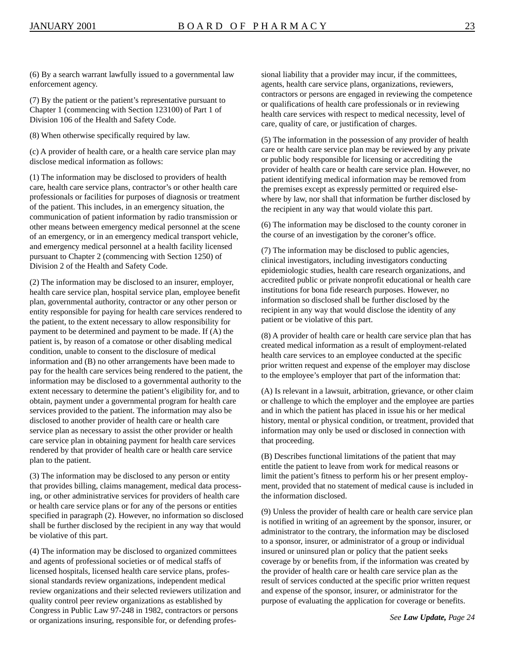(6) By a search warrant lawfully issued to a governmental law enforcement agency.

(7) By the patient or the patient's representative pursuant to Chapter 1 (commencing with Section 123100) of Part 1 of Division 106 of the Health and Safety Code.

(8) When otherwise specifically required by law.

(c) A provider of health care, or a health care service plan may disclose medical information as follows:

(1) The information may be disclosed to providers of health care, health care service plans, contractor's or other health care professionals or facilities for purposes of diagnosis or treatment of the patient. This includes, in an emergency situation, the communication of patient information by radio transmission or other means between emergency medical personnel at the scene of an emergency, or in an emergency medical transport vehicle, and emergency medical personnel at a health facility licensed pursuant to Chapter 2 (commencing with Section 1250) of Division 2 of the Health and Safety Code.

(2) The information may be disclosed to an insurer, employer, health care service plan, hospital service plan, employee benefit plan, governmental authority, contractor or any other person or entity responsible for paying for health care services rendered to the patient, to the extent necessary to allow responsibility for payment to be determined and payment to be made. If (A) the patient is, by reason of a comatose or other disabling medical condition, unable to consent to the disclosure of medical information and (B) no other arrangements have been made to pay for the health care services being rendered to the patient, the information may be disclosed to a governmental authority to the extent necessary to determine the patient's eligibility for, and to obtain, payment under a governmental program for health care services provided to the patient. The information may also be disclosed to another provider of health care or health care service plan as necessary to assist the other provider or health care service plan in obtaining payment for health care services rendered by that provider of health care or health care service plan to the patient.

(3) The information may be disclosed to any person or entity that provides billing, claims management, medical data processing, or other administrative services for providers of health care or health care service plans or for any of the persons or entities specified in paragraph (2). However, no information so disclosed shall be further disclosed by the recipient in any way that would be violative of this part.

(4) The information may be disclosed to organized committees and agents of professional societies or of medical staffs of licensed hospitals, licensed health care service plans, professional standards review organizations, independent medical review organizations and their selected reviewers utilization and quality control peer review organizations as established by Congress in Public Law 97-248 in 1982, contractors or persons or organizations insuring, responsible for, or defending professional liability that a provider may incur, if the committees, agents, health care service plans, organizations, reviewers, contractors or persons are engaged in reviewing the competence or qualifications of health care professionals or in reviewing health care services with respect to medical necessity, level of care, quality of care, or justification of charges.

(5) The information in the possession of any provider of health care or health care service plan may be reviewed by any private or public body responsible for licensing or accrediting the provider of health care or health care service plan. However, no patient identifying medical information may be removed from the premises except as expressly permitted or required elsewhere by law, nor shall that information be further disclosed by the recipient in any way that would violate this part.

(6) The information may be disclosed to the county coroner in the course of an investigation by the coroner's office.

(7) The information may be disclosed to public agencies, clinical investigators, including investigators conducting epidemiologic studies, health care research organizations, and accredited public or private nonprofit educational or health care institutions for bona fide research purposes. However, no information so disclosed shall be further disclosed by the recipient in any way that would disclose the identity of any patient or be violative of this part.

(8) A provider of health care or health care service plan that has created medical information as a result of employment-related health care services to an employee conducted at the specific prior written request and expense of the employer may disclose to the employee's employer that part of the information that:

(A) Is relevant in a lawsuit, arbitration, grievance, or other claim or challenge to which the employer and the employee are parties and in which the patient has placed in issue his or her medical history, mental or physical condition, or treatment, provided that information may only be used or disclosed in connection with that proceeding.

(B) Describes functional limitations of the patient that may entitle the patient to leave from work for medical reasons or limit the patient's fitness to perform his or her present employment, provided that no statement of medical cause is included in the information disclosed.

(9) Unless the provider of health care or health care service plan is notified in writing of an agreement by the sponsor, insurer, or administrator to the contrary, the information may be disclosed to a sponsor, insurer, or administrator of a group or individual insured or uninsured plan or policy that the patient seeks coverage by or benefits from, if the information was created by the provider of health care or health care service plan as the result of services conducted at the specific prior written request and expense of the sponsor, insurer, or administrator for the purpose of evaluating the application for coverage or benefits.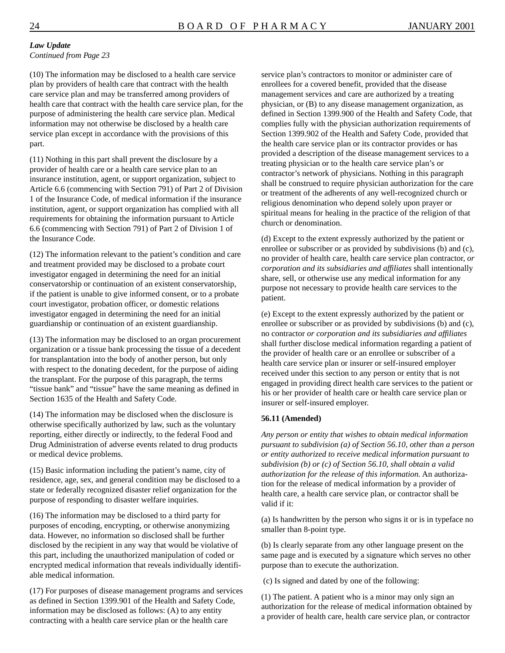### *Continued from Page 23*

(10) The information may be disclosed to a health care service plan by providers of health care that contract with the health care service plan and may be transferred among providers of health care that contract with the health care service plan, for the purpose of administering the health care service plan. Medical information may not otherwise be disclosed by a health care service plan except in accordance with the provisions of this part.

(11) Nothing in this part shall prevent the disclosure by a provider of health care or a health care service plan to an insurance institution, agent, or support organization, subject to Article 6.6 (commencing with Section 791) of Part 2 of Division 1 of the Insurance Code, of medical information if the insurance institution, agent, or support organization has complied with all requirements for obtaining the information pursuant to Article 6.6 (commencing with Section 791) of Part 2 of Division 1 of the Insurance Code.

(12) The information relevant to the patient's condition and care and treatment provided may be disclosed to a probate court investigator engaged in determining the need for an initial conservatorship or continuation of an existent conservatorship, if the patient is unable to give informed consent, or to a probate court investigator, probation officer, or domestic relations investigator engaged in determining the need for an initial guardianship or continuation of an existent guardianship.

(13) The information may be disclosed to an organ procurement organization or a tissue bank processing the tissue of a decedent for transplantation into the body of another person, but only with respect to the donating decedent, for the purpose of aiding the transplant. For the purpose of this paragraph, the terms "tissue bank" and "tissue" have the same meaning as defined in Section 1635 of the Health and Safety Code.

(14) The information may be disclosed when the disclosure is otherwise specifically authorized by law, such as the voluntary reporting, either directly or indirectly, to the federal Food and Drug Administration of adverse events related to drug products or medical device problems.

(15) Basic information including the patient's name, city of residence, age, sex, and general condition may be disclosed to a state or federally recognized disaster relief organization for the purpose of responding to disaster welfare inquiries.

(16) The information may be disclosed to a third party for purposes of encoding, encrypting, or otherwise anonymizing data. However, no information so disclosed shall be further disclosed by the recipient in any way that would be violative of this part, including the unauthorized manipulation of coded or encrypted medical information that reveals individually identifiable medical information.

(17) For purposes of disease management programs and services as defined in Section 1399.901 of the Health and Safety Code, information may be disclosed as follows: (A) to any entity contracting with a health care service plan or the health care

service plan's contractors to monitor or administer care of enrollees for a covered benefit, provided that the disease management services and care are authorized by a treating physician, or (B) to any disease management organization, as defined in Section 1399.900 of the Health and Safety Code, that complies fully with the physician authorization requirements of Section 1399.902 of the Health and Safety Code, provided that the health care service plan or its contractor provides or has provided a description of the disease management services to a treating physician or to the health care service plan's or contractor's network of physicians. Nothing in this paragraph shall be construed to require physician authorization for the care or treatment of the adherents of any well-recognized church or religious denomination who depend solely upon prayer or spiritual means for healing in the practice of the religion of that church or denomination.

(d) Except to the extent expressly authorized by the patient or enrollee or subscriber or as provided by subdivisions (b) and (c), no provider of health care, health care service plan contractor, *or corporation and its subsidiaries and affiliates* shall intentionally share, sell, or otherwise use any medical information for any purpose not necessary to provide health care services to the patient.

(e) Except to the extent expressly authorized by the patient or enrollee or subscriber or as provided by subdivisions (b) and (c), no contractor *or corporation and its subsidiaries and affiliates*  shall further disclose medical information regarding a patient of the provider of health care or an enrollee or subscriber of a health care service plan or insurer or self-insured employer received under this section to any person or entity that is not engaged in providing direct health care services to the patient or his or her provider of health care or health care service plan or insurer or self-insured employer.

#### **56.11 (Amended)**

*Any person or entity that wishes to obtain medical information pursuant to subdivision (a) of Section 56.10, other than a person or entity authorized to receive medical information pursuant to subdivision (b) or (c) of Section 56.10, shall obtain a valid authorization for the release of this information.* An authorization for the release of medical information by a provider of health care, a health care service plan, or contractor shall be valid if it:

(a) Is handwritten by the person who signs it or is in typeface no smaller than 8-point type.

(b) Is clearly separate from any other language present on the same page and is executed by a signature which serves no other purpose than to execute the authorization.

(c) Is signed and dated by one of the following:

(1) The patient. A patient who is a minor may only sign an authorization for the release of medical information obtained by a provider of health care, health care service plan, or contractor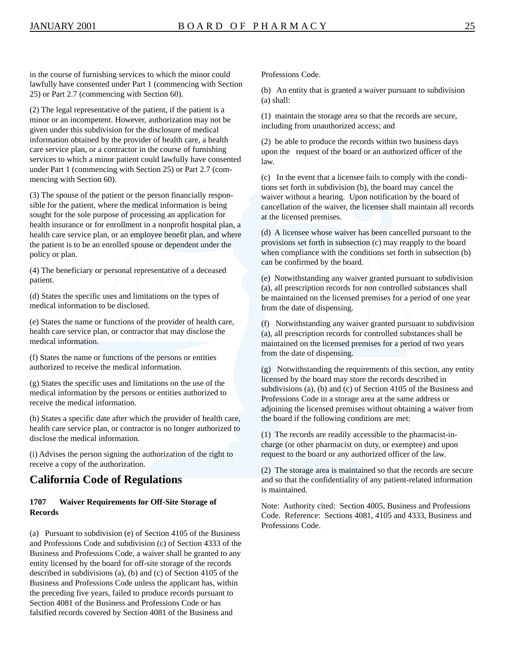in the course of furnishing services to which the minor could lawfully have consented under Part 1 (commencing with Section 25) or Part 2.7 (commencing with Section 60).

(2) The legal representative of the patient, if the patient is a minor or an incompetent. However, authorization may not be given under this subdivision for the disclosure of medical information obtained by the provider of health care, a health care service plan, or a contractor in the course of furnishing services to which a minor patient could lawfully have consented under Part 1 (commencing with Section 25) or Part 2.7 (commencing with Section 60).

sible for the patient, where the medical information is being sought for the sole purpose of processing an application for health insurance or for enrollment in a nonprofit hospital plan, a health care service plan, or an employee benefit plan, and where the patient is to be an enrolled spouse or dependent under the policy or plan. (3) The spouse of the patient or the person financially respon-

(4) The beneficiary or personal representative of a deceased patient.

(d) States the specific uses and limitations on the types of medical information to be disclosed.

(e) States the name or functions of the provider of health care, health care service plan, or contractor that may disclose the medical information.

(f) States the name or functions of the persons or entities authorized to receive the medical information.

(g) States the specific uses and limitations on the use of the medical information by the persons or entities authorized to receive the medical information.

(h) States a specific date after which the provider of health care, health care service plan, or contractor is no longer authorized to disclose the medical information.

(i) Advises the person signing the authorization of the right to receive a copy of the authorization.

## **California Code of Regulations**

#### **1707 Waiver Requirements for Off-Site Storage of Records**

(a) Pursuant to subdivision (e) of Section 4105 of the Business and Professions Code and subdivision (c) of Section 4333 of the Business and Professions Code, a waiver shall be granted to any entity licensed by the board for off-site storage of the records described in subdivisions (a), (b) and (c) of Section 4105 of the Business and Professions Code unless the applicant has, within the preceding five years, failed to produce records pursuant to Section 4081 of the Business and Professions Code or has falsified records covered by Section 4081 of the Business and

Professions Code.

(b) An entity that is granted a waiver pursuant to subdivision (a) shall:

(1) maintain the storage area so that the records are secure, including from unauthorized access; and

(2) be able to produce the records within two business days upon the request of the board or an authorized officer of the law.

cancellation of the waiver, the licensee shall maintain all records at the licensed premises. (c) In the event that a licensee fails to comply with the conditions set forth in subdivision (b), the board may cancel the waiver without a hearing. Upon notification by the board of

(d) A licensee whose waiver has been cancelled pursuant to the provisions set forth in subsection (c) may reapply to the board when compliance with the conditions set forth in subsection (b) can be confirmed by the board.

(e) Notwithstanding any waiver granted pursuant to subdivision (a), all prescription records for non controlled substances shall be maintained on the licensed premises for a period of one year from the date of dispensing.

(f) Notwithstanding any waiver granted pursuant to subdivision (a), all prescription records for controlled substances shall be maintained on the licensed premises for a period of two years from the date of dispensing.

(g) Notwithstanding the requirements of this section, any entity licensed by the board may store the records described in subdivisions (a), (b) and (c) of Section 4105 of the Business and Professions Code in a storage area at the same address or adjoining the licensed premises without obtaining a waiver from the board if the following conditions are met:

(1) The records are readily accessible to the pharmacist-incharge (or other pharmacist on duty, or exemptee) and upon request to the board or any authorized officer of the law.

(2) The storage area is maintained so that the records are secure and so that the confidentiality of any patient-related information is maintained.

Note: Authority cited: Section 4005, Business and Professions Code. Reference: Sections 4081, 4105 and 4333, Business and Professions Code.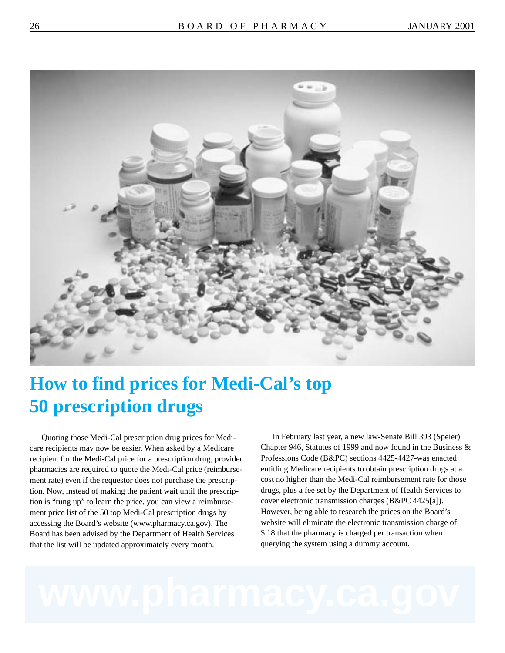

# **How to find prices for Medi-Cal's top 50 prescription drugs**

Quoting those Medi-Cal prescription drug prices for Medicare recipients may now be easier. When asked by a Medicare recipient for the Medi-Cal price for a prescription drug, provider pharmacies are required to quote the Medi-Cal price (reimbursement rate) even if the requestor does not purchase the prescription. Now, instead of making the patient wait until the prescription is "rung up" to learn the price, you can view a reimbursement price list of the 50 top Medi-Cal prescription drugs by accessing the Board's website (<www.pharmacy.ca.gov>). The Board has been advised by the Department of Health Services that the list will be updated approximately every month.

In February last year, a new law-Senate Bill 393 (Speier) Chapter 946, Statutes of 1999 and now found in the Business & Professions Code (B&PC) sections 4425-4427-was enacted entitling Medicare recipients to obtain prescription drugs at a cost no higher than the Medi-Cal reimbursement rate for those drugs, plus a fee set by the Department of Health Services to cover electronic transmission charges (B&PC 4425[a]). However, being able to research the prices on the Board's website will eliminate the electronic transmission charge of \$.18 that the pharmacy is charged per transaction when querying the system using a dummy account.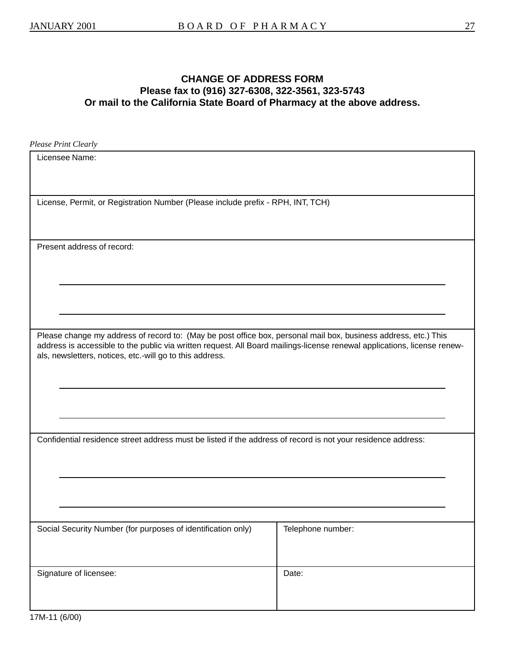### **CHANGE OF ADDRESS FORM Please fax to (916) 327-6308, 322-3561, 323-5743 Or mail to the California State Board of Pharmacy at the above address.**

*Please Print Clearly* 

| Licensee Name:                                                                                                                                                                                                                                                                                          |                   |
|---------------------------------------------------------------------------------------------------------------------------------------------------------------------------------------------------------------------------------------------------------------------------------------------------------|-------------------|
|                                                                                                                                                                                                                                                                                                         |                   |
| License, Permit, or Registration Number (Please include prefix - RPH, INT, TCH)                                                                                                                                                                                                                         |                   |
|                                                                                                                                                                                                                                                                                                         |                   |
| Present address of record:                                                                                                                                                                                                                                                                              |                   |
|                                                                                                                                                                                                                                                                                                         |                   |
|                                                                                                                                                                                                                                                                                                         |                   |
|                                                                                                                                                                                                                                                                                                         |                   |
| Please change my address of record to: (May be post office box, personal mail box, business address, etc.) This<br>address is accessible to the public via written request. All Board mailings-license renewal applications, license renew-<br>als, newsletters, notices, etc.-will go to this address. |                   |
|                                                                                                                                                                                                                                                                                                         |                   |
|                                                                                                                                                                                                                                                                                                         |                   |
|                                                                                                                                                                                                                                                                                                         |                   |
| Confidential residence street address must be listed if the address of record is not your residence address:                                                                                                                                                                                            |                   |
|                                                                                                                                                                                                                                                                                                         |                   |
|                                                                                                                                                                                                                                                                                                         |                   |
|                                                                                                                                                                                                                                                                                                         |                   |
| Social Security Number (for purposes of identification only)                                                                                                                                                                                                                                            | Telephone number: |
|                                                                                                                                                                                                                                                                                                         |                   |
| Signature of licensee:                                                                                                                                                                                                                                                                                  | Date:             |
|                                                                                                                                                                                                                                                                                                         |                   |